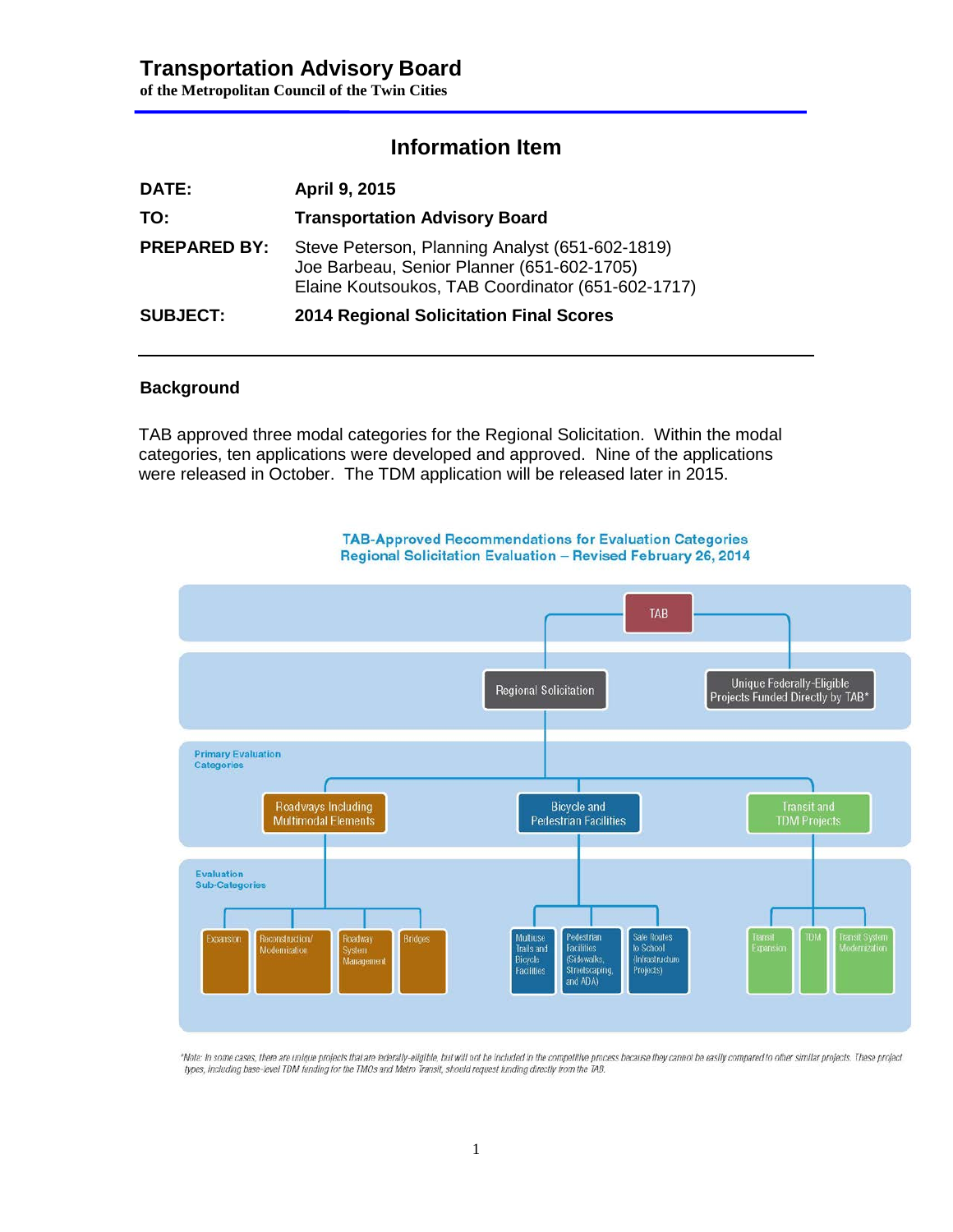# **Transportation Advisory Board**

**of the Metropolitan Council of the Twin Cities**

## **Information Item**

| <b>DATE:</b>        | April 9, 2015                                                                                                                                      |
|---------------------|----------------------------------------------------------------------------------------------------------------------------------------------------|
| TO:                 | <b>Transportation Advisory Board</b>                                                                                                               |
| <b>PREPARED BY:</b> | Steve Peterson, Planning Analyst (651-602-1819)<br>Joe Barbeau, Senior Planner (651-602-1705)<br>Elaine Koutsoukos, TAB Coordinator (651-602-1717) |
| <b>SUBJECT:</b>     | 2014 Regional Solicitation Final Scores                                                                                                            |

#### **Background**

TAB approved three modal categories for the Regional Solicitation. Within the modal categories, ten applications were developed and approved. Nine of the applications were released in October. The TDM application will be released later in 2015.



**TAB-Approved Recommendations for Evaluation Categories** Regional Solicitation Evaluation - Revised February 26, 2014

"Note: In some cases, there are unique projects that are federally-eligible, but will not be included in the competitive process because they cannot be easily compared to other similar projects. These project types, including base-level TDM funding for the TMOs and Metro Transit, should request funding directly from the TAB.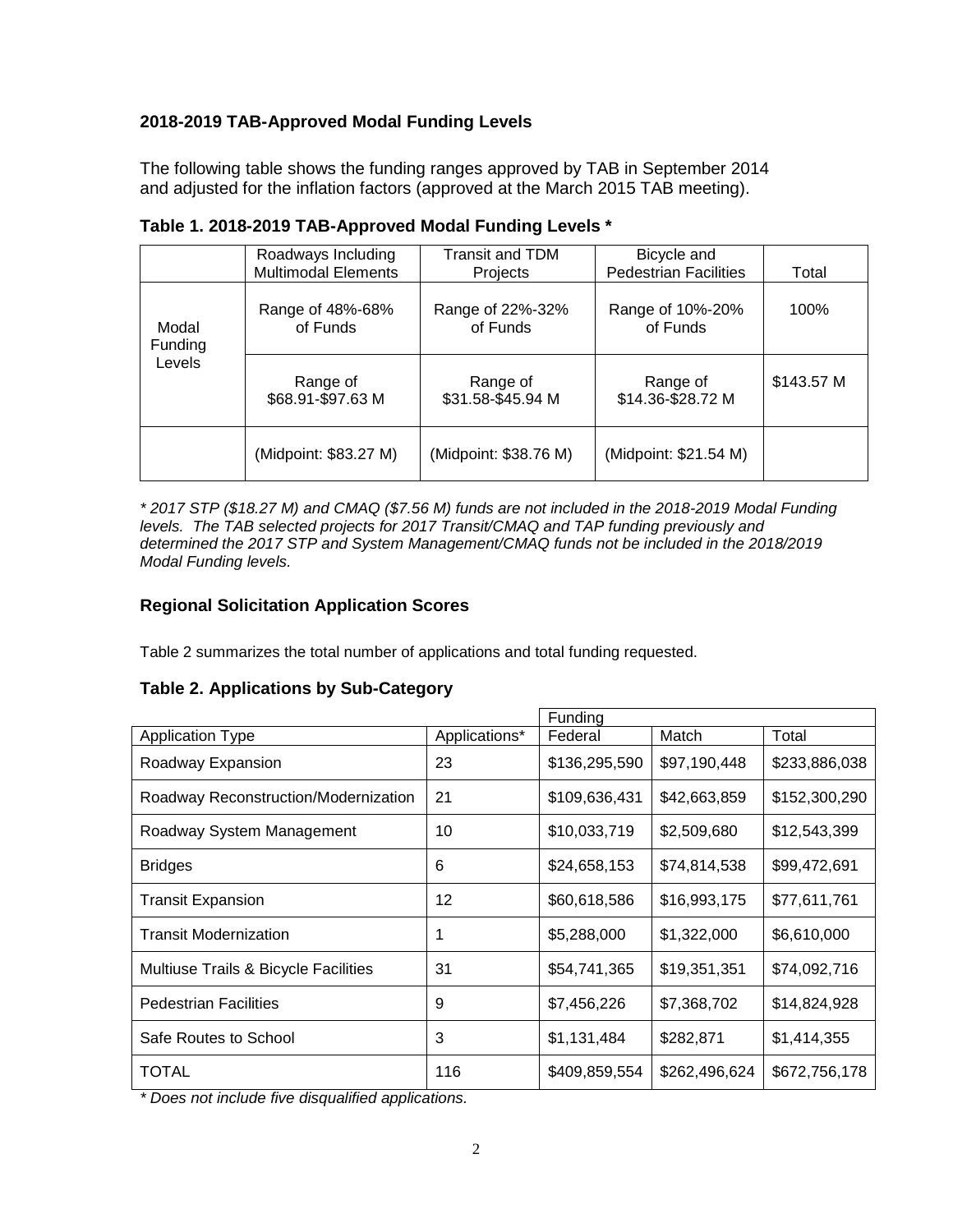## **2018-2019 TAB-Approved Modal Funding Levels**

The following table shows the funding ranges approved by TAB in September 2014 and adjusted for the inflation factors (approved at the March 2015 TAB meeting).

|                            | Roadways Including<br><b>Multimodal Elements</b> | <b>Transit and TDM</b><br>Projects | Bicycle and<br><b>Pedestrian Facilities</b> | Total      |
|----------------------------|--------------------------------------------------|------------------------------------|---------------------------------------------|------------|
| Modal<br>Funding<br>Levels | Range of 48%-68%<br>of Funds                     | Range of 22%-32%<br>of Funds       | Range of 10%-20%<br>of Funds                | 100%       |
|                            | Range of<br>\$68.91-\$97.63 M                    | Range of<br>\$31.58-\$45.94 M      | Range of<br>\$14.36-\$28.72 M               | \$143.57 M |
|                            | (Midpoint: \$83.27 M)                            | (Midpoint: \$38.76 M)              | (Midpoint: \$21.54 M)                       |            |

|  |  | Table 1. 2018-2019 TAB-Approved Modal Funding Levels * |  |  |  |
|--|--|--------------------------------------------------------|--|--|--|
|--|--|--------------------------------------------------------|--|--|--|

*\* 2017 STP (\$18.27 M) and CMAQ (\$7.56 M) funds are not included in the 2018-2019 Modal Funding levels. The TAB selected projects for 2017 Transit/CMAQ and TAP funding previously and determined the 2017 STP and System Management/CMAQ funds not be included in the 2018/2019 Modal Funding levels.*

## **Regional Solicitation Application Scores**

Table 2 summarizes the total number of applications and total funding requested.

### **Table 2. Applications by Sub-Category**

|                                      |               | Funding       |               |               |
|--------------------------------------|---------------|---------------|---------------|---------------|
| <b>Application Type</b>              | Applications* | Federal       | Match         | Total         |
| Roadway Expansion                    | 23            | \$136,295,590 | \$97,190,448  | \$233,886,038 |
| Roadway Reconstruction/Modernization | 21            | \$109,636,431 | \$42,663,859  | \$152,300,290 |
| Roadway System Management            | 10            | \$10,033,719  | \$2,509,680   | \$12,543,399  |
| <b>Bridges</b>                       | 6             | \$24,658,153  | \$74,814,538  | \$99,472,691  |
| <b>Transit Expansion</b>             | 12            | \$60,618,586  | \$16,993,175  | \$77,611,761  |
| <b>Transit Modernization</b>         |               | \$5,288,000   | \$1,322,000   | \$6,610,000   |
| Multiuse Trails & Bicycle Facilities | 31            | \$54,741,365  | \$19,351,351  | \$74,092,716  |
| <b>Pedestrian Facilities</b>         | 9             | \$7,456,226   | \$7,368,702   | \$14,824,928  |
| Safe Routes to School                | 3             | \$1,131,484   | \$282,871     | \$1,414,355   |
| TOTAL                                | 116           | \$409,859,554 | \$262,496,624 | \$672,756,178 |

*\* Does not include five disqualified applications.*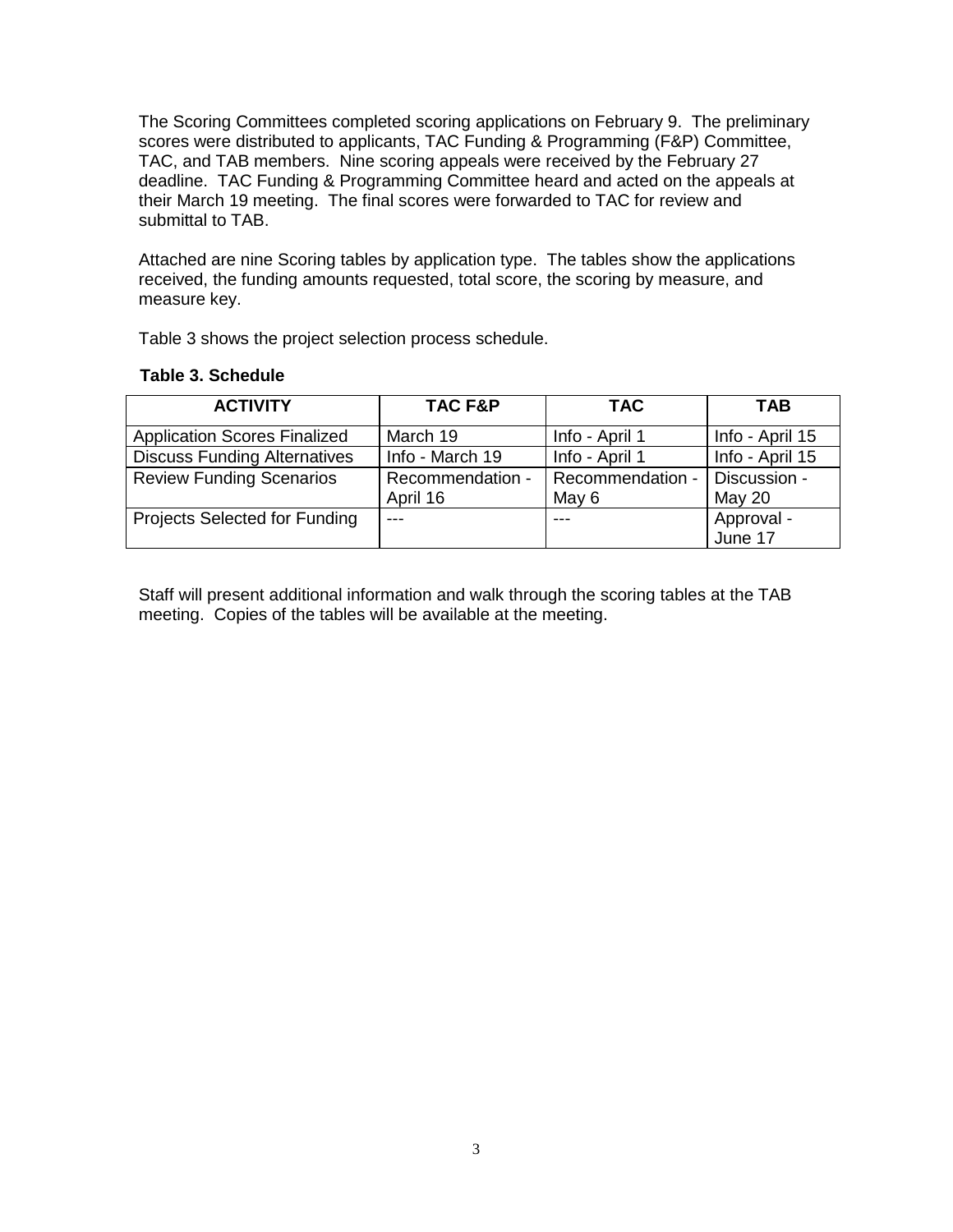The Scoring Committees completed scoring applications on February 9. The preliminary scores were distributed to applicants, TAC Funding & Programming (F&P) Committee, TAC, and TAB members. Nine scoring appeals were received by the February 27 deadline. TAC Funding & Programming Committee heard and acted on the appeals at their March 19 meeting. The final scores were forwarded to TAC for review and submittal to TAB.

Attached are nine Scoring tables by application type. The tables show the applications received, the funding amounts requested, total score, the scoring by measure, and measure key.

Table 3 shows the project selection process schedule.

| <b>Table 3. Schedule</b> |  |  |  |  |
|--------------------------|--|--|--|--|
|--------------------------|--|--|--|--|

| <b>ACTIVITY</b>                     | TAC F&P                      | <b>TAC</b>                | <b>TAB</b>             |
|-------------------------------------|------------------------------|---------------------------|------------------------|
| <b>Application Scores Finalized</b> | March 19                     | Info - April 1            | Info - April 15        |
| <b>Discuss Funding Alternatives</b> | Info - March 19              | Info - April 1            | Info - April 15        |
| <b>Review Funding Scenarios</b>     | Recommendation -<br>April 16 | Recommendation -<br>May 6 | Discussion -<br>May 20 |
| Projects Selected for Funding       | $---$                        |                           | Approval -             |
|                                     |                              |                           | June 17                |

Staff will present additional information and walk through the scoring tables at the TAB meeting. Copies of the tables will be available at the meeting.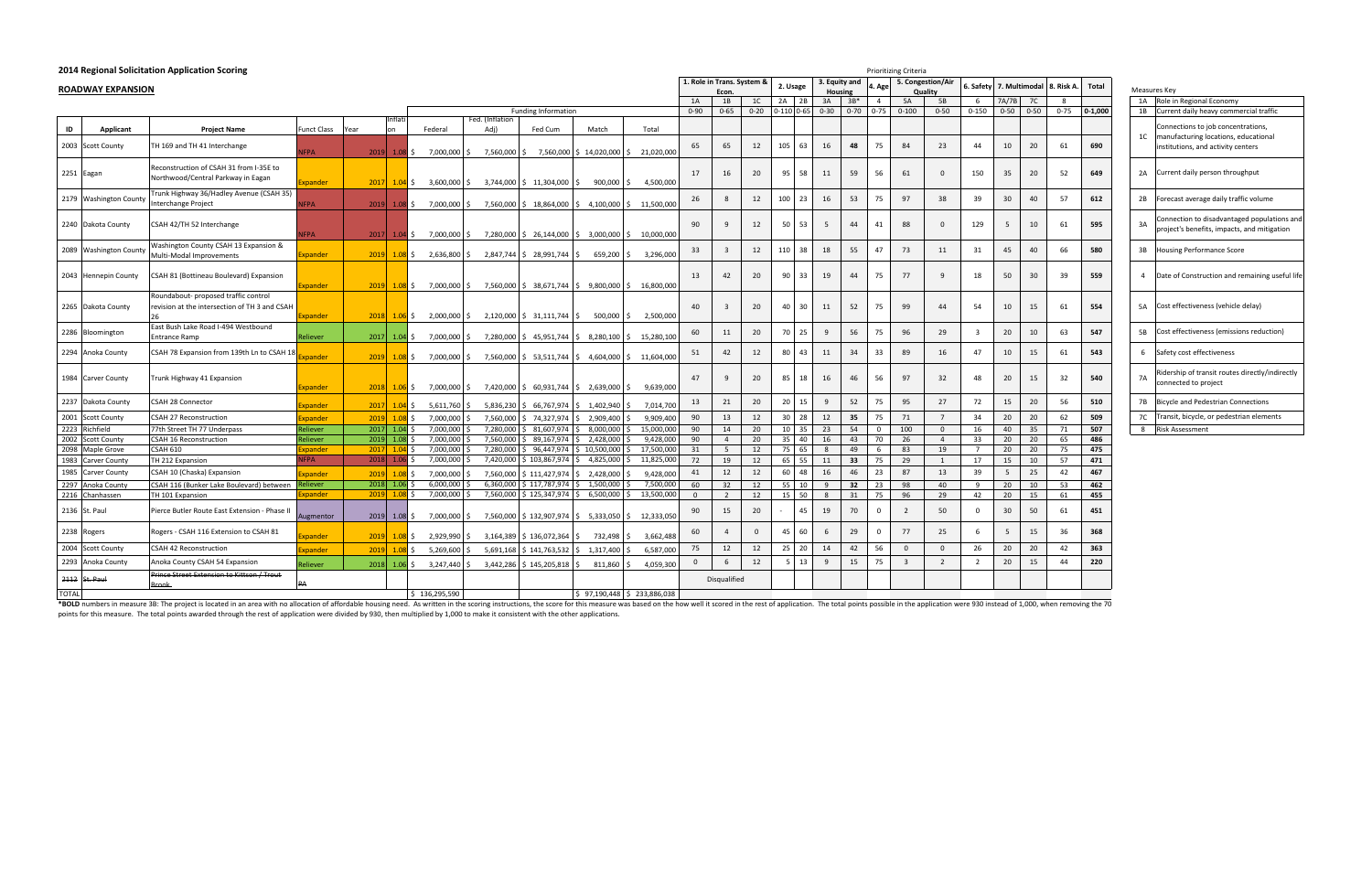\*BOLD numbers in measure 3B: The project is located in an area with no allocation of affordable housing need. As written in the scoring instructions, the score for this measure was based on the how well it scored in the re points for this measure. The total points awarded through the rest of application were divided by 930, then multiplied by 1,000 to make it consistent with the other applications.

|              | 2014 Regional Solicitation Application Scoring |                                                                                       |                |      |                |                             |                                                                                                            |                               |                                                                          |            |                |                            | Prioritizing Criteria |                 |    |                                     |                |                 |                   |                         |                      |          |            |             |                |
|--------------|------------------------------------------------|---------------------------------------------------------------------------------------|----------------|------|----------------|-----------------------------|------------------------------------------------------------------------------------------------------------|-------------------------------|--------------------------------------------------------------------------|------------|----------------|----------------------------|-----------------------|-----------------|----|-------------------------------------|----------------|-----------------|-------------------|-------------------------|----------------------|----------|------------|-------------|----------------|
|              |                                                |                                                                                       |                |      |                |                             |                                                                                                            |                               |                                                                          |            |                | 1. Role in Trans. System & |                       | 2. Usage        |    | 3. Equity and                       | 4. Age         |                 | 5. Congestion/Air |                         | Safety 7. Multimodal |          | 8. Risk A. | Total       |                |
|              | <b>ROADWAY EXPANSION</b>                       |                                                                                       |                |      |                |                             |                                                                                                            |                               |                                                                          |            | 1A             | Econ.<br>1B                |                       | 2A 2B           |    | Housing                             | $\overline{4}$ |                 | <b>Quality</b>    |                         |                      | 7C       |            |             | Measures       |
|              |                                                |                                                                                       |                |      |                |                             |                                                                                                            | <b>Funding Information</b>    |                                                                          |            | $0 - 90$       | $0 - 65$                   | 1C<br>$0 - 20$        | $0-110$ $0-65$  |    | 3A<br>$3B*$<br>$0 - 70$<br>$0 - 30$ | $0 - 75$       | 5A<br>$0 - 100$ | 5B<br>$0 - 50$    | -6<br>$0 - 150$         | 7A/7B<br>$0 - 50$    | $0 - 50$ | $0 - 75$   | $0 - 1,000$ | 1A R<br>1B C   |
|              |                                                |                                                                                       |                |      | ıtlat          |                             | Fed. (Inflation                                                                                            |                               |                                                                          |            |                |                            |                       |                 |    |                                     |                |                 |                   |                         |                      |          |            |             |                |
| ID           | <b>Applicant</b>                               | <b>Project Name</b>                                                                   | Funct Class    | Year | nn             | Federal                     | Adj)                                                                                                       | Fed Cum                       | Match                                                                    | Total      |                |                            |                       |                 |    |                                     |                |                 |                   |                         |                      |          |            |             |                |
|              | 2003 Scott County                              | TH 169 and TH 41 Interchange                                                          | <b>FPA</b>     | 2019 |                | $1.08$ \$<br>7,000,000 \$   |                                                                                                            |                               | 7,560,000 \$ 7,560,000 \$ 14,020,000 \$                                  | 21,020,000 | 65             | 65                         | 12                    | 105             | 63 | 16<br>48                            | 75             | 84              | 23                | 44                      | 10                   | 20       | 61         | 690         | 1 <sup>C</sup> |
|              | 2251 Eagan                                     | Reconstruction of CSAH 31 from I-35E to<br>Northwood/Central Parkway in Eagan         | xpander        |      |                |                             | $\begin{bmatrix} 2017 & 1.04 & 5 \\ 3.600 & 000 & 5 \\ 0 & 3.744 & 000 & 5 \end{bmatrix}$ (11,304,000   \$ |                               | 900,000                                                                  | 4,500,000  | 17             | 16                         | 20                    | 95              | 58 | 59<br>11                            | 56             | 61              | $\mathbf{0}$      | 150                     | 35                   | 20       | 52         | 649         | 2A             |
|              | 2179 Washington County                         | Trunk Highway 36/Hadley Avenue (CSAH 35)                                              |                |      |                |                             |                                                                                                            |                               |                                                                          |            | 26             | 8                          | 12                    | 100             | 23 | 53<br>16                            | 75             | 97              | 38                | 39                      | 30 <sup>°</sup>      | 40       | 57         | 612         | 2B             |
|              |                                                | Interchange Project                                                                   | <b>FPA</b>     |      |                | $2019$ 1.08 \$ 7,000,000 \$ |                                                                                                            |                               | 7,560,000 \$ 18,864,000 \$ 4,100,000 \$                                  | 11,500,000 |                |                            |                       |                 |    |                                     |                |                 |                   |                         |                      |          |            |             |                |
|              | 2240 Dakota County                             | CSAH 42/TH 52 Interchange                                                             | <b>FPA</b>     | 2017 |                |                             |                                                                                                            |                               | $1.04$ \$ 7,000,000 \$ 7,280,000 \$ 26,144,000 \$ 3,000,000 \$           | 10,000,000 | 90             | -9                         | 12                    | 50              | 53 | - 5<br>44                           | 41             | 88              | $\Omega$          | 129                     | $5\overline{5}$      | 10       | 61         | 595         | 3A             |
|              | 2089 Washington County                         | Washington County CSAH 13 Expansion &<br>Multi-Modal Improvements                     | Expander       | 2019 |                | $1.08$ \$ 2,636,800 \$      |                                                                                                            | 2,847,744 \$28,991,744 \$     | 659,200                                                                  | 3,296,000  | 33             | $\overline{\mathbf{3}}$    | 12                    | 110             | 38 | 55<br>18                            | 47             | 73              | 11                | 31                      | 45                   | 40       | 66         | 580         | 3B             |
|              | 2043 Hennepin County                           | CSAH 81 (Bottineau Boulevard) Expansion                                               | xpander        | 2019 |                | 7,000,000 \$<br>$1.08$ \$   |                                                                                                            |                               | 7,560,000 \$ 38,671,744 \$ 9,800,000 \$                                  | 16,800,000 | 13             | 42                         | 20                    | 90              | 33 | 19<br>44                            | 75             | 77              | 9                 | 18                      | 50                   | 30       | 39         | 559         | $\overline{4}$ |
|              | 2265 Dakota County                             | Roundabout- proposed traffic control<br>revision at the intersection of TH 3 and CSAH | xpander        | 2018 |                | $1.06 \div 2,000,000 \div$  |                                                                                                            | 2,120,000 \$ 31,111,744 \$    | 500,000 \$                                                               | 2,500,000  | 40             | $\overline{\mathbf{3}}$    | 20                    | 40              | 30 | 52<br>11                            | 75             | 99              | 44                | 54                      | 10                   | 15       | 61         | 554         | 5A             |
|              | 2286 Bloomington                               | East Bush Lake Road I-494 Westbound<br><b>Entrance Ramp</b>                           | Reliever       | 2017 | $1.04 \,$ \$   | 7,000,000                   |                                                                                                            | 7,280,000   \$45,951,744   \$ | 8,280,100 \$                                                             | 15,280,100 | 60             | 11                         | 20                    | 70              | 25 | 56<br>9                             | 75             | 96              | 29                | $\overline{\mathbf{3}}$ | 20                   | 10       | 63         | 547         | 5B             |
|              | 2294 Anoka County                              | CSAH 78 Expansion from 139th Ln to CSAH 18                                            | Expander       |      |                | $2019$ 1.08 \$ 7,000,000 \$ |                                                                                                            |                               | 7,560,000 \$ 53,511,744 \$ 4,604,000 \$                                  | 11,604,000 | 51             | 42                         | 12                    | 80              | 43 | 11<br>34                            | 33             | 89              | 16                | 47                      | 10                   | 15       | 61         | 543         | 6              |
|              | 1984 Carver County                             | Trunk Highway 41 Expansion                                                            | xpander        | 2018 |                |                             |                                                                                                            |                               | $\frac{1.06}{5}$ \$ 7,000,000 \$ 7,420,000 \$ 60,931,744 \$ 2,639,000 \$ | 9,639,000  | 47             | $\mathbf{q}$               | 20                    | 85              | 18 | 16<br>46                            | 56             | 97              | 32                | 48                      | 20                   | 15       | 32         | 540         | <b>7A</b>      |
| 2237         | Dakota County                                  | CSAH 28 Connector                                                                     | xpander        | 2017 |                | 5,611,760<br>$1.04$ \$      |                                                                                                            |                               | 5,836,230   \$ 66,767,974   \$ 1,402,940   \$                            | 7,014,700  | 13             | 21                         | 20                    | 20              | 15 | 9<br>52                             | 75             | 95              | 27                | 72                      | 15                   | 20       | 56         | 510         | <b>7B</b>      |
| 2001         | <b>Scott County</b>                            | <b>CSAH 27 Reconstruction</b>                                                         | xpander        | 2019 | 1.08           | 7,000,000                   | 7,560,000                                                                                                  | \$74,327,974                  | 2,909,400                                                                | 9,909,400  | 90             | 13                         | 12                    | 30 <sup>°</sup> | 28 | 12<br>35                            | 75             | 71              | $7^{\circ}$       | 34                      | 20                   | 20       | 62         | 509         | 7C             |
| 2223         | Richfield                                      | 77th Street TH 77 Underpass                                                           | Reliever       | 2017 | $1.04 \,$ \$   | 7,000,000                   | 7,280,000                                                                                                  | $$3,607,974$ \$               | 8,000,000                                                                | 15,000,000 | 90             | 14                         | 20                    | 10 <sup>1</sup> | 35 | 23<br>54                            | $\overline{0}$ | 100             | $\overline{0}$    | 16                      | 40                   | 35       | 71         | 507         | 8 R            |
| 2002         | <b>Scott County</b>                            | <b>CSAH 16 Reconstruction</b>                                                         | Reliever       | 2019 | 1.08           | 7,000,000                   | 7,560,000                                                                                                  | 89,167,974                    | 2,428,000                                                                | 9,428,000  | 90             | $\overline{4}$             | 20                    | 35              | 40 | 16<br>43                            | 70             | 26              | $\overline{4}$    | 33                      | 20                   | 20       | 65         | 486         |                |
| 2098         | Maple Grove                                    | <b>CSAH 610</b>                                                                       | xpander        | 2017 | $1.04$ \$      | 7,000,000                   | 7,280,000                                                                                                  | \$96,447,974                  | \$10,500,000                                                             | 17,500,000 | 31             | 5                          | 12                    | 75              | 65 | 8<br>49                             | 6              | 83              | 19                | $7\overline{ }$         | 20                   | 20       | 75         | 475         |                |
| 1983         | <b>Carver County</b>                           | TH 212 Expansion                                                                      | <b>FPA</b>     |      | $2018$ 1.06 \$ | 7,000,000                   | 7,420,000                                                                                                  | \$103,867,974                 | 4,825,000                                                                | 11,825,000 | 72             | 19                         | 12                    | 65              | 55 | 33<br>11                            | 75             | 29              | 1                 | 17                      | 15                   | 10       | 57         | 471         |                |
| 1985         | Carver County                                  | CSAH 10 (Chaska) Expansion                                                            | xpander        | 2019 | 1.08           | 7,000,000                   | 7,560,000                                                                                                  | \$111,427,974                 | 2,428,000                                                                | 9,428,000  | 41             | 12                         | 12                    | 60              | 48 | 16<br>46                            | 23             | 87              | 13                | 39                      | 5                    | 25       | 42         | 467         |                |
| 2297         | Anoka County                                   | CSAH 116 (Bunker Lake Boulevard) between                                              | ?eliever       | 2018 | $1.06$ \$      | 6,000,000                   | 6,360,000                                                                                                  | $\overline{5}$ 117,787,974    | 1,500,000<br>IS.                                                         | 7,500,000  | 60             | 32                         | 12                    | 55              | 10 | 9<br>32                             | 23             | 98              | 40                | -9                      | 20                   | 10       | 53         | 462         |                |
|              | 2216 Chanhassen                                | TH 101 Expansion                                                                      | xpander        | 2019 | $1.08$ \$      | 7,000,000                   | 7,560,000                                                                                                  | \$125,347,974                 | 6,500,000                                                                | 13,500,000 | $\overline{0}$ | $\overline{2}$             | 12                    | 15              | 50 | 31<br>8                             | 75             | 96              | 29                | 42                      | 20                   | 15       | 61         | 455         |                |
|              | 2136 St. Paul                                  | Pierce Butler Route East Extension - Phase II                                         | Augmentor      |      | $2019$ 1.08 \$ | 7,000,000                   |                                                                                                            |                               | 7,560,000   \$132,907,974   \$5,333,050   \$                             | 12,333,050 | 90             | 15                         | 20                    |                 | 45 | 19<br>70                            | $\mathbf 0$    | $\overline{2}$  | 50                | $\mathbf 0$             | 30                   | 50       | 61         | 451         |                |
|              | 2238 Rogers                                    | Rogers - CSAH 116 Extension to CSAH 81                                                | <b>xpander</b> | 2019 |                | 2,929,990<br>$1.08$ \$      |                                                                                                            | $3,164,389$ \$ 136,072,364 \$ | 732,498                                                                  | 3,662,488  | 60             | $\overline{4}$             | $\overline{0}$        | 45              | 60 | 29<br>6                             | $\Omega$       | 77              | 25                | 6                       | 5                    | 15       | 36         | 368         |                |
|              | 2004 Scott County                              | CSAH 42 Reconstruction                                                                | xpander        | 2019 | $1.08$ \$      | 5,269,600                   |                                                                                                            | 5,691,168 \$141,763,532       | 1,317,400                                                                | 6,587,000  | 75             | 12                         | 12                    | 25              | 20 | 14<br>42                            | 56             | $\mathbf{0}$    | $\mathbf 0$       | 26                      | 20                   | 20       | 42         | 363         |                |
|              | 2293 Anoka County                              | Anoka County CSAH 54 Expansion                                                        | Reliever       | 2018 | $1.06$ \$      | 3,247,440                   |                                                                                                            | 3,442,286 \$145,205,818       | 811,860                                                                  | 4,059,300  | $\overline{0}$ | 6                          | 12                    | $5^{\circ}$     | 13 | 9<br>15                             | 75             | $\overline{3}$  | 2                 | $\overline{2}$          | 20                   | 15       | 44         | 220         |                |
| 2112         | St. Paul                                       | Prince Street Extension to Kittson / Trout<br><b>Brook</b>                            | PA             |      |                |                             |                                                                                                            |                               |                                                                          |            |                | Disqualified               |                       |                 |    |                                     |                |                 |                   |                         |                      |          |            |             |                |
| <b>TOTAL</b> |                                                |                                                                                       |                |      |                | \$136,295,590               |                                                                                                            |                               | $$97,190,448 \leq 233,886,038$                                           |            |                |                            |                       |                 |    |                                     |                |                 |                   |                         |                      |          |            |             |                |

| аı | Measures Key   |                                                                                            |
|----|----------------|--------------------------------------------------------------------------------------------|
|    | 1A             | Role in Regional Economy                                                                   |
| 00 | 1B             | Current daily heavy commercial traffic                                                     |
| 0  | 1 <sup>C</sup> | Connections to job concentrations,<br>manufacturing locations, educational                 |
|    |                | institutions, and activity centers                                                         |
| 9  | 2A             | Current daily person throughput                                                            |
| 2  | 2B             | Forecast average daily traffic volume                                                      |
| 5  | 3A             | Connection to disadvantaged populations and<br>project's benefits, impacts, and mitigation |
| 0  | 3B             | <b>Housing Performance Score</b>                                                           |
| 9  | 4              | Date of Construction and remaining useful life                                             |
| 4  | 5A             | Cost effectiveness (vehicle delay)                                                         |
| 7  | 5B             | Cost effectiveness (emissions reduction)                                                   |
| 3  | 6              | Safety cost effectiveness                                                                  |
| 0  | <b>7A</b>      | Ridership of transit routes directly/indirectly<br>connected to project                    |
| 0  | <b>7B</b>      | <b>Bicycle and Pedestrian Connections</b>                                                  |
| 9  | 7C             | Transit, bicycle, or pedestrian elements                                                   |
| 7  | 8              | <b>Risk Assessment</b>                                                                     |
|    |                |                                                                                            |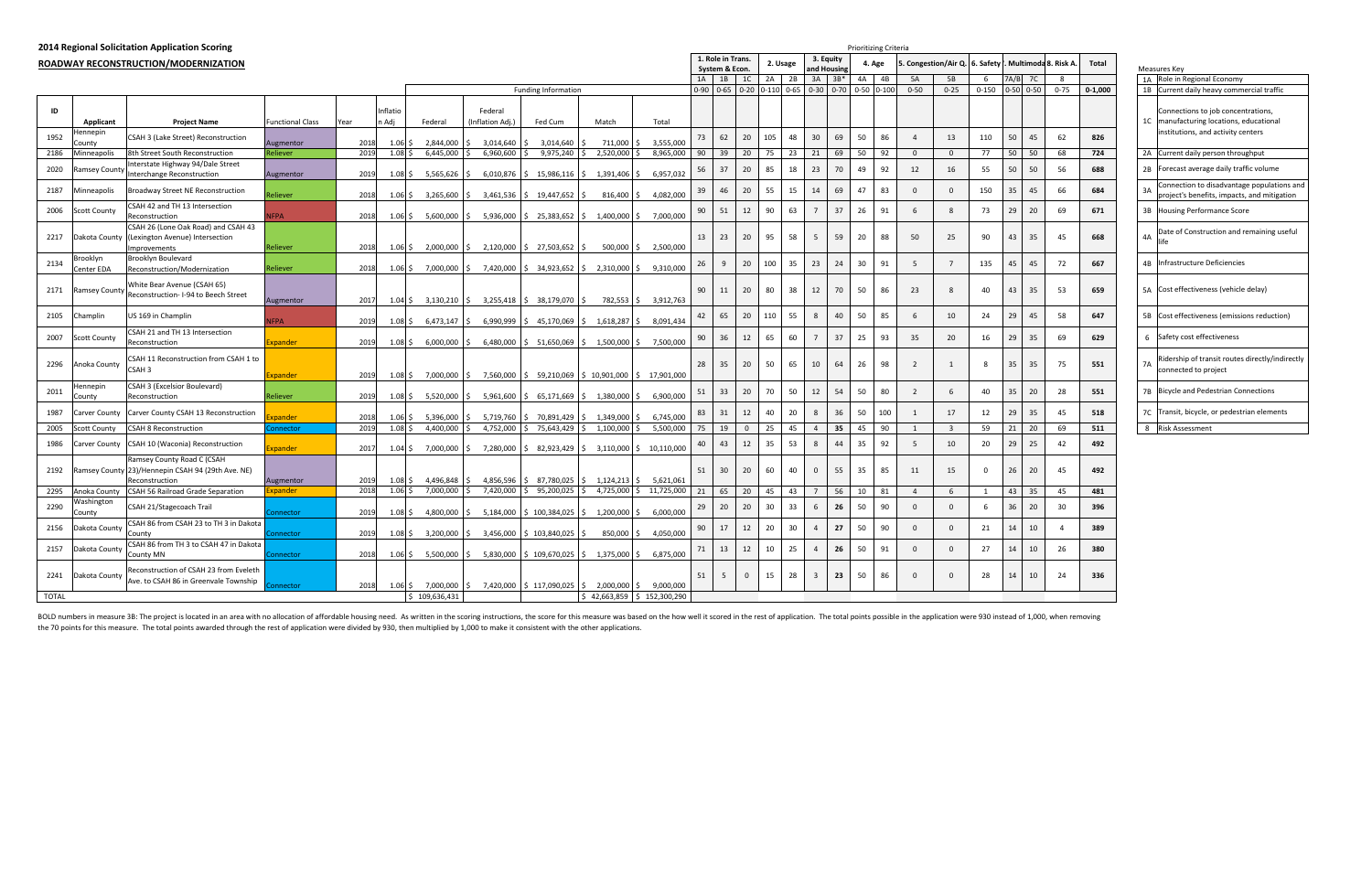| Mea | Total       | Multimoda 8. Risk A. |          |       |
|-----|-------------|----------------------|----------|-------|
| 1Α  |             | 8                    | 7C       | A/B   |
| 1B  | $0 - 1,000$ | $0 - 75$             | $0 - 50$ | $-50$ |
| 1C  |             |                      |          |       |
|     | 826         | 62                   | 45       | 50    |
| 2A  | 724         | 68                   | 50       | 50    |
| 2B  | 688         | 56                   | 50       | 50    |
| 3A  | 684         | 66                   | 45       | 35    |
| 3B  | 671         | 69                   | 20       | 29    |
| 4A  | 668         | 45                   | 35       | 43    |
| 4B  | 667         | 72                   | 45       | 45    |
| 5A  | 659         | 53                   | 35       | 43    |
| 5B  | 647         | 58                   | 45       | 29    |
| 6   | 629         | 69                   | 35       | 29    |
| 7A  | 551         | 75                   | 35       | 35    |
| 7B  | 551         | 28                   | 20       | 35    |
| 7C  | 518         | 45                   | 35       | 29    |
| 8   | 511         | 69                   | 20       | 21    |
|     | 492         | 42                   | 25       | 29    |
|     | 492         | 45                   | 20       | 26    |
|     | 481         | 45                   | 35       | 43    |
|     | 396         | 30                   | 20       | 36    |
|     | 389         | 4                    | 10       | 14    |
|     | 380         | 26                   | 10       | 14    |
|     | 336         | 24                   | 10       | 14    |
|     |             |                      |          |       |

|                      |                        | 2014 Regional Solicitation Application Scoring                                                    |                         |      |                                |                            |                             |                                                                                    |              |                                                   |    |                                     |                |           |                 |                              | <b>Prioritizing Criteria</b> |     |                |                                |             |                       |          |             |    |                                                                                 |
|----------------------|------------------------|---------------------------------------------------------------------------------------------------|-------------------------|------|--------------------------------|----------------------------|-----------------------------|------------------------------------------------------------------------------------|--------------|---------------------------------------------------|----|-------------------------------------|----------------|-----------|-----------------|------------------------------|------------------------------|-----|----------------|--------------------------------|-------------|-----------------------|----------|-------------|----|---------------------------------------------------------------------------------|
|                      |                        | ROADWAY RECONSTRUCTION/MODERNIZATION                                                              |                         |      |                                |                            |                             |                                                                                    |              |                                                   |    | 1. Role in Trans.<br>System & Econ. |                | 2. Usage  |                 | 3. Equity<br>and Housing     | 4. Age                       |     |                | 5. Congestion/Air Q. 6. Safety |             | Multimoda 8. Risk A   |          | Total       |    | Measures Key                                                                    |
|                      |                        |                                                                                                   |                         |      |                                |                            |                             |                                                                                    |              |                                                   | 1A | $1B$ 1C                             |                | $2A$ $2B$ |                 | $3A$ $3B*$                   | 4A                           | 4B  | 5A             | 5B                             | 6           | 7A/B 7C               | 8        |             |    | 1A Role in Regional Economy                                                     |
|                      |                        |                                                                                                   |                         |      |                                |                            |                             | <b>Funding Information</b>                                                         |              |                                                   |    | 0-90 0-65 0-20 0-110 0-65           |                |           |                 | $0-30$ $0-70$ $0-50$ $0-100$ |                              |     | $0 - 50$       | $0 - 25$                       |             | $0-150$ $0-50$ $0-50$ | $0 - 75$ | $0 - 1.000$ |    | 1B Current daily heavy commercial traffic                                       |
| ID                   | Applicant              | <b>Project Name</b>                                                                               | <b>Functional Class</b> | Year | Inflatio<br>n Adj              | Federal                    | Federal<br>(Inflation Adj.) | Fed Cum                                                                            | Match        | Total                                             |    |                                     |                |           |                 |                              |                              |     |                |                                |             |                       |          |             |    | Connections to job concentrations<br>1C   manufacturing locations, educational  |
| 1952                 | ennepir<br>County      | CSAH 3 (Lake Street) Reconstruction                                                               | Augmentor               | 2018 | 1.06                           | 2,844,000                  | 3,014,640                   | 3,014,640                                                                          | 711,000      | 3,555,000                                         | 73 | 62                                  | 20             | 105<br>48 | 30 <sup>°</sup> | 69                           | 50                           | 86  | $\overline{4}$ | 13                             | 110         | 50<br>45              | 62       | 826         |    | institutions, and activity centers                                              |
| 2186                 | Minneapolis            | 8th Street South Reconstruction                                                                   | Reliever                | 2019 | 1.08                           | 6,445,000                  | 6,960,600                   | 9,975,240                                                                          | 2,520,000    | 8,965,000                                         | 90 | 39                                  | 20             | 75<br>23  | 21              | 69                           | 50                           | 92  | $\overline{0}$ | $\overline{0}$                 | 77          | 50<br>50              | 68       | 724         |    | 2A Current daily person throughput                                              |
| 2020                 | amsey Count:           | Interstate Highway 94/Dale Street<br>Interchange Reconstruction                                   | Augmentor               | 2019 | $1.08\,$ \$                    | 5,565,626                  |                             | $6,010,876$ \$ 15,986,116 \$                                                       | 1,391,406 \$ | 6,957,032                                         | 56 | 37                                  | 20             | 85<br>18  | 23              | 70                           | 49                           | 92  | 12             | 16                             | 55          | 50<br>50              | 56       | 688         |    | 2B Forecast average daily traffic volume                                        |
| 2187                 | Minneapolis            | <b>Broadway Street NE Reconstruction</b>                                                          | ?eliever                | 2018 | $1.06\,$ \$                    | 3,265,600                  | 3,461,536                   | 19,447,652<br>S                                                                    | $816,400$ \$ | 4,082,000                                         | 39 | 46                                  | 20             | 55<br>15  | 14              | 69                           | 47                           | 83  | $\Omega$       | $\Omega$                       | 150         | 35<br>45              | 66       | 684         | 3A | Connection to disadvantage populatic<br>project's benefits, impacts, and mitiga |
| 2006                 | <b>Scott County</b>    | CSAH 42 and TH 13 Intersection<br>Reconstruction                                                  | <b>JFPA</b>             | 2018 |                                | $1.06 \div 5,600,000 \div$ |                             | 5,936,000 \$ 25,383,652 \$ 1,400,000 \$ 7,000,000                                  |              |                                                   | 90 | 51                                  | 12             | 90<br>63  | $\overline{7}$  | 37                           | 26                           | 91  | -6             |                                | 73          | 29<br>20              | 69       | 671         |    | 3B Housing Performance Score                                                    |
| 2217                 | Dakota County          | CSAH 26 (Lone Oak Road) and CSAH 43<br>(Lexington Avenue) Intersection<br>Improvements            | Reliever                | 2018 | $1.06\,$ \$                    | 2,000,000                  | 2,120,000                   | \$27,503,652                                                                       | $500,000$ \$ | 2,500,000                                         | 13 | 23                                  | 20             | 95<br>58  | 5 <sup>5</sup>  | 59                           | 20                           | 88  | 50             | 25                             | 90          | 43<br>35              | 45       | 668         | 4A | Date of Construction and remaining u                                            |
| 2134                 | 3rooklyn<br>Center EDA | Brooklyn Boulevard<br>Reconstruction/Modernization                                                | Reliever                | 2018 |                                |                            |                             | $1.06 \div 7,000,000 \div 7,420,000 \div 34,923,652 \div 2,310,000 \div 9,310,000$ |              |                                                   | 26 | 9                                   | 20             | 100<br>35 | 23              | 24                           | 30                           | 91  | -5             |                                | 135         | 45<br>45              | 72       | 667         |    | 4B Infrastructure Deficiencies                                                  |
| 2171                 | <b>Ramsey County</b>   | White Bear Avenue (CSAH 65)<br>Reconstruction- I-94 to Beech Street                               | Augmentor               | 2017 |                                | $1.04 \div 3,130,210$      |                             | 3,255,418 \$ 38,179,070                                                            |              | 782,553 \$ 3,912,763                              | 90 | 11                                  | 20             | 80<br>38  | 12              | 70                           | 50                           | 86  | 23             |                                | 40          | 43<br>35              | 53       | 659         |    | 5A Cost effectiveness (vehicle delay)                                           |
| 2105                 | Champlin               | US 169 in Champlin                                                                                | <b>IFPA</b>             | 2019 | $1.08\,$ \$                    | 6,473,147                  | IS.                         | 6,990,999 \$ 45,170,069                                                            |              | 1,618,287 \$ 8,091,434                            | 42 | 65                                  | 20             | 110<br>55 | 8               | 40                           | 50                           | 85  | 6              | 10                             | 24          | 29<br>45              | 58       | 647         |    | 5B Cost effectiveness (emissions reduction                                      |
| 2007                 | <b>Scott County</b>    | CSAH 21 and TH 13 Intersection<br>Reconstruction                                                  | Expander                | 2019 | $1.08\frac{1}{5}$              | $6,000,000$ \$             |                             | 6,480,000 \$ 51,650,069 \$ 1,500,000 \$ 7,500,000                                  |              |                                                   | 90 | 36                                  | 12             | 60<br>65  |                 | 37                           | 25                           | 93  | 35             | 20                             | 16          | 29<br>35              | 69       | 629         |    | 6 Safety cost effectiveness                                                     |
| 2296                 | Anoka County           | CSAH 11 Reconstruction from CSAH 1 to<br><b>CSAH3</b>                                             | Expander                | 2019 | $1.08\frac{1}{2}$              | 7,000,000                  |                             | 7,560,000 \$ 59,210,069                                                            |              | $\frac{1}{2}$ 10,901,000 $\frac{1}{2}$ 17,901,000 | 28 | 35                                  | 20             | 50<br>65  | 10              | 64                           | 26                           | 98  | $\overline{2}$ |                                | 8           | 35<br>35              | 75       | 551         | 7A | Ridership of transit routes directly/inc<br>connected to project                |
| 2011                 | lennepin<br>County     | CSAH 3 (Excelsior Boulevard)<br>Reconstruction                                                    | Reliever                | 2019 |                                | $1.08\div 5,520,000$       | IS.                         | 5,961,600   \$65,171,669   \$1,380,000   \$6,900,000                               |              |                                                   | 51 | 33                                  | 20             | 50<br>70  | 12              | 54                           | 50                           | 80  | $\overline{2}$ | 6                              | 40          | 35<br>20              | 28       | 551         |    | 7B Bicycle and Pedestrian Connections                                           |
| 1987                 | Carver County          | Carver County CSAH 13 Reconstruction                                                              | <b>coander</b>          | 2018 | $1.06\;$ \$                    | 5,396,000                  | 5,719,760                   | \$70,891,429                                                                       | 1,349,000    | 6,745,000                                         | 83 | 31                                  | 12             | 40<br>20  |                 | 36                           | 50                           | 100 |                | 17                             | 12          | 29<br>35              | 45       | 518         |    | 7C Transit, bicycle, or pedestrian element                                      |
| 2005                 | Scott County           | <b>CSAH 8 Reconstruction</b>                                                                      | Connector               | 2019 | $1.08\,$ \$                    | 4,400,000                  | 4,752,000                   | \$75,643,429                                                                       | 1,100,000    | 5,500,000                                         | 75 | 19                                  | $\overline{0}$ | 25<br>45  | $\mathbf{A}$    | 35                           | 45                           | 90  | $\overline{1}$ | $\overline{\mathbf{3}}$        | 59          | 21<br>20              | 69       | 511         |    | 8 Risk Assessment                                                               |
| 1986                 | Carver County          | CSAH 10 (Waconia) Reconstruction                                                                  | xpander                 | 2017 |                                | $1.04 \div 7,000,000 \div$ |                             | 7,280,000 \$ 82,923,429 \$ 3,110,000 \$ 10,110,000                                 |              |                                                   | 40 | 43                                  | 12             | 35<br>53  |                 | 44                           | 35                           | 92  | - 5            | 10                             | 20          | 29<br>25              | 42       | 492         |    |                                                                                 |
| 2192                 |                        | Ramsey County Road C (CSAH<br>Ramsey County 23)/Hennepin CSAH 94 (29th Ave. NE)<br>Reconstruction | Augmentor               | 2019 | $1.08\,$ \$                    | 4,496,848                  | 4,856,596                   | 87,780,025<br>$\varsigma$                                                          |              | $1,124,213$ \$ 5,621,061                          | 51 | 30                                  | 20             | 60<br>40  | $\mathbf{0}$    | 55                           | 35                           | 85  | 11             | 15                             | $\mathbf 0$ | 26<br>20              | 45       | 492         |    |                                                                                 |
| 2295                 | Anoka County           | <b>CSAH 56 Railroad Grade Separation</b>                                                          | Expander                | 2018 | $1.06$ \$                      | 7,000,000                  | 7,420,000                   | \$95,200,025                                                                       |              | 4,725,000 \$ 11,725,000                           | 21 | 65                                  | 20             | 45<br>43  | $7^{\circ}$     | 56                           | 10                           | 81  | $\overline{4}$ | 6                              | 1           | 43<br>35              | 45       | 481         |    |                                                                                 |
| 2290                 | Washington<br>County   | CSAH 21/Stagecoach Trail                                                                          | <b>nnector</b>          | 2019 | $1.08\overline{\smash{\big)}}$ | 4,800,000                  |                             | 5,184,000 \$ 100,384,025                                                           | 1,200,000    | 6,000,000                                         | 29 | 20                                  | 20             | 33<br>30  |                 | 26                           | 50                           | 90  | $\Omega$       | $\Omega$                       | 6           | 36<br>20              | 30       | 396         |    |                                                                                 |
| 2156                 | Dakota County          | CSAH 86 from CSAH 23 to TH 3 in Dakota<br>County                                                  | onnector                | 2019 | $1.08\overline{\smash{\big)}}$ | 3,200,000                  | 3,456,000                   | \$103,840,025                                                                      | 850,000 \$   | 4,050,000                                         | 90 | 17                                  | 12             | 30<br>20  | $\overline{4}$  | 27                           | 50                           | 90  | $\Omega$       | $\Omega$                       | 21          | 10<br>14              | $\Delta$ | 389         |    |                                                                                 |
| 2157                 | Dakota County          | CSAH 86 from TH 3 to CSAH 47 in Dakota<br>County MN                                               | onnector                | 2018 |                                | $1.06 \div 5,500,000 \div$ |                             | 5,830,000 \$ 109,670,025 \$ 1,375,000 \$ 6,875,000                                 |              |                                                   | 71 | 13                                  | 12             | 25<br>10  |                 | 26                           | 50                           | 91  | $\Omega$       | $\Omega$                       | 27          | 14<br>10              | 26       | 380         |    |                                                                                 |
| 2241<br><b>TOTAL</b> | Dakota County          | Reconstruction of CSAH 23 from Eveleth<br>Ave. to CSAH 86 in Greenvale Township                   | onnector                | 2018 | $1.06\,$ \$                    | 7,000,000<br>\$109,636,431 |                             | 7,420,000 \$117,090,025 \$                                                         | 2,000,000 \$ | 9,000,000<br>$$42,663,859$ $$152,300,290$         | 51 | 5                                   | $\overline{0}$ | 15<br>28  | $\overline{3}$  | 23                           | 50                           | 86  | $\Omega$       | $\Omega$                       | 28          | 14<br>10              | 24       | 336         |    |                                                                                 |
|                      |                        |                                                                                                   |                         |      |                                |                            |                             |                                                                                    |              |                                                   |    |                                     |                |           |                 |                              |                              |     |                |                                |             |                       |          |             |    |                                                                                 |

BOLD numbers in measure 3B: The project is located in an area with no allocation of affordable housing need. As written in the scoring instructions, the score for this measure was based on the how well it scored in the res the 70 points for this measure. The total points awarded through the rest of application were divided by 930, then multiplied by 1,000 to make it consistent with the other applications.

|           | Measures Key                                                                                                     |
|-----------|------------------------------------------------------------------------------------------------------------------|
| 1A        | Role in Regional Economy                                                                                         |
| 1B        | Current daily heavy commercial traffic                                                                           |
| 1C        | Connections to job concentrations,<br>manufacturing locations, educational<br>institutions, and activity centers |
| 2A        | Current daily person throughput                                                                                  |
| 2B        | Forecast average daily traffic volume                                                                            |
| 3A        | Connection to disadvantage populations and<br>project's benefits, impacts, and mitigation                        |
| 3B        | <b>Housing Performance Score</b>                                                                                 |
| 4A        | Date of Construction and remaining useful<br>life                                                                |
| 4B        | Infrastructure Deficiencies                                                                                      |
| 5A        | Cost effectiveness (vehicle delay)                                                                               |
| 5Β        | Cost effectiveness (emissions reduction)                                                                         |
| 6         | Safety cost effectiveness                                                                                        |
| 7A        | Ridership of transit routes directly/indirectly<br>connected to project                                          |
| <b>7B</b> | <b>Bicycle and Pedestrian Connections</b>                                                                        |
| 7C        | Transit, bicycle, or pedestrian elements                                                                         |
| 8         | Risk Assessment                                                                                                  |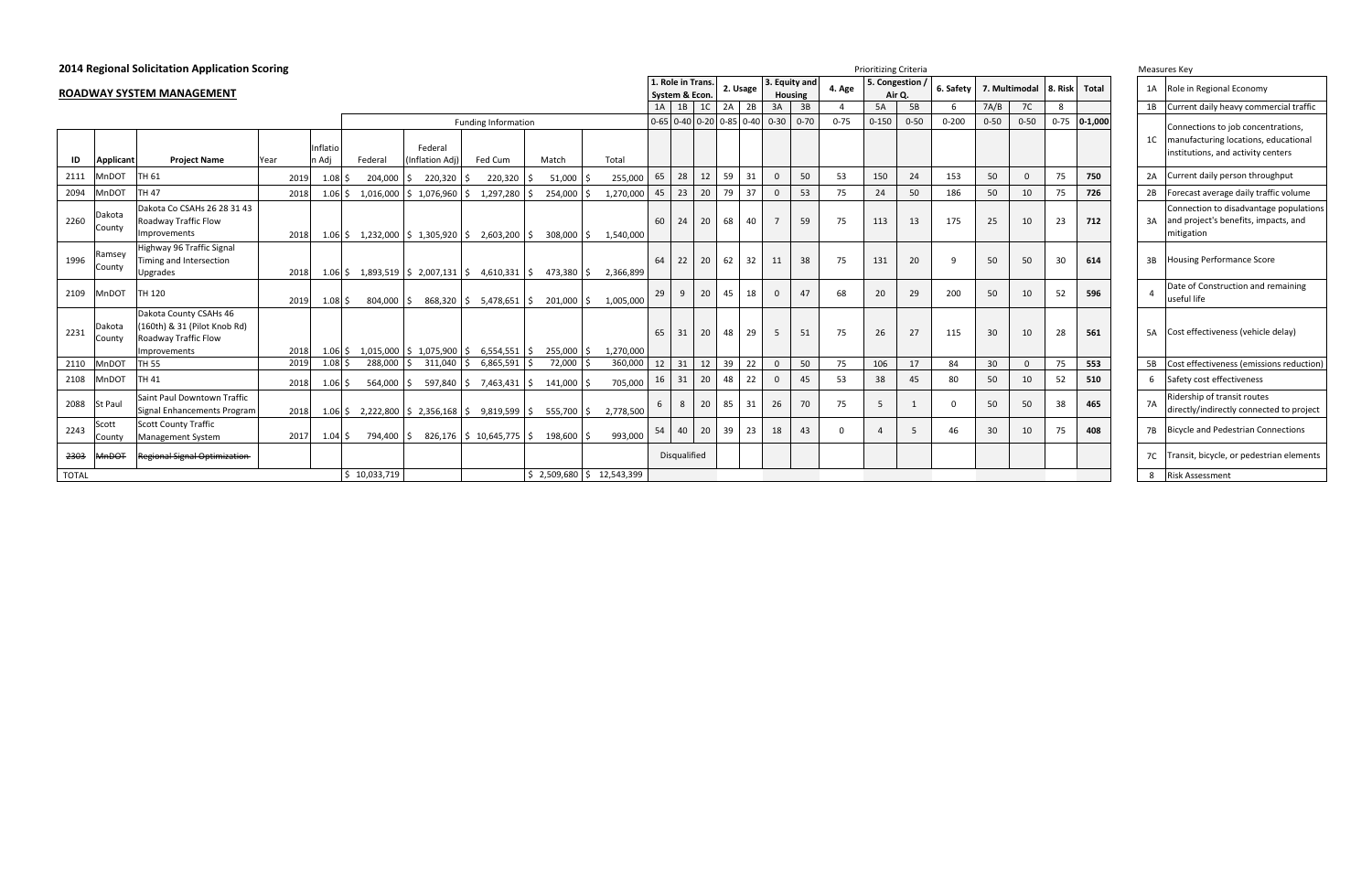| <b>2014 Regional Solicitation Application Scoring</b> |                |                                     |      |      |                                 |                     |                 |                                                                                |                            |    |           |                |                     | <b>Prioritizing Criteria</b>  |                            |                 |                |                |          |                |          |           |                 |               |                |             |                | Measures Key |                  |
|-------------------------------------------------------|----------------|-------------------------------------|------|------|---------------------------------|---------------------|-----------------|--------------------------------------------------------------------------------|----------------------------|----|-----------|----------------|---------------------|-------------------------------|----------------------------|-----------------|----------------|----------------|----------|----------------|----------|-----------|-----------------|---------------|----------------|-------------|----------------|--------------|------------------|
|                                                       |                |                                     |      |      |                                 |                     |                 |                                                                                |                            |    |           |                |                     | 1. Role in Trans.<br>2. Usage |                            |                 | 3. Equity and  |                | 4. Age   | 5. Congestion  |          | 6. Safety |                 | 7. Multimodal |                | Total       | 1A             |              | Role in          |
|                                                       |                | ROADWAY SYSTEM MANAGEMENT           |      |      |                                 |                     |                 |                                                                                |                            |    |           | System & Econ. |                     |                               |                            |                 |                | <b>Housing</b> |          |                | Air Q.   |           |                 |               | <b>8. Risk</b> |             |                |              |                  |
|                                                       |                |                                     |      |      |                                 |                     |                 |                                                                                |                            |    |           | 1A             | 1B                  | 1 <sup>C</sup>                | 2A                         | 2B              | 3A             | 3B             |          | 5A             | 5B       | - 6       | 7A/B            | 7C            | 8              |             | 1B             |              | Currer           |
|                                                       |                |                                     |      |      |                                 |                     |                 | <b>Funding Information</b>                                                     |                            |    |           |                |                     |                               | $0-65$ 0-40 0-20 0-85 0-40 |                 | $0 - 30$       | $0 - 70$       | $0 - 75$ | $0 - 150$      | $0 - 50$ | $0 - 200$ | $0 - 50$        | $0 - 50$      | $0 - 75$       | $0 - 1,000$ |                |              | Conne            |
|                                                       |                |                                     |      |      |                                 |                     |                 |                                                                                |                            |    |           |                |                     |                               |                            |                 |                |                |          |                |          |           |                 |               |                |             | 1 <sup>C</sup> |              | manut            |
|                                                       |                |                                     |      |      | Inflatio                        |                     | Federal         |                                                                                |                            |    |           |                |                     |                               |                            |                 |                |                |          |                |          |           |                 |               |                |             |                |              | institu          |
| ID                                                    | Applicant      | <b>Project Name</b>                 | Year |      | n Adj                           | Federal             | (Inflation Adj) | Fed Cum                                                                        | Match                      |    | Total     |                |                     |                               |                            |                 |                |                |          |                |          |           |                 |               |                |             |                |              |                  |
| 2111                                                  | MnDOT          | TH 61                               |      | 2019 | $1.08\overline{\phantom{0}}$ \$ | 204,000 \$          | $220,320$ \$    | $220,320$ \$                                                                   | 51,000                     |    | 255,000   | 65             | 28                  | 12                            | 59                         | 31              | $\Omega$       | 50             | 53       | 150            | 24       | 153       | 50              | $\Omega$      | 75             | 750         | 2A             |              | Currer           |
| 2094                                                  | MnDOT          | <b>TH 47</b>                        |      | 2018 | $1.06$ \$                       | 1,016,000           | \$1,076,960     | 1,297,280<br>I S                                                               | 254,000                    |    | 1,270,000 | 45             | 23                  | 20                            | 79                         | 37              | $\Omega$       | 53             | 75       | 24             | 50       | 186       | 50              | 10            | 75             | 726         | 2B             |              | Foreca           |
|                                                       | Dakota         | Dakota Co CSAHs 26 28 31 43         |      |      |                                 |                     |                 |                                                                                |                            |    |           |                |                     |                               |                            |                 |                |                |          |                |          |           |                 |               |                |             |                |              | Conne            |
| 2260                                                  | County         | Roadway Traffic Flow                |      |      |                                 |                     |                 |                                                                                |                            |    |           | 60 l           | 24                  | 20                            | 68                         | 40              |                | 59             | 75       | 113            | 13       | 175       | 25              | 10            | 23             | 712         | 3A             |              | and pr           |
|                                                       |                | Improvements                        |      | 2018 |                                 |                     |                 | $1.06 \div 1,232,000 \div 1,305,920 \div 2,603,200 \div$                       | 308,000 \$                 |    | 1,540,000 |                |                     |                               |                            |                 |                |                |          |                |          |           |                 |               |                |             |                |              | mitiga           |
|                                                       | Ramsey         | Highway 96 Traffic Signal           |      |      |                                 |                     |                 |                                                                                |                            |    |           |                |                     |                               |                            |                 |                |                |          |                |          |           |                 |               |                |             |                |              |                  |
| 1996                                                  | County         | Timing and Intersection             |      |      |                                 |                     |                 |                                                                                |                            |    |           | 64             | 22                  | 20                            | 62                         | 32              | 11             | 38             | 75       | 131            | 20       | q         | 50              | 50            | 30             | 614         | 3B             |              | Housir           |
|                                                       |                | Upgrades                            |      | 2018 |                                 |                     |                 | $1.06 \mid \xi$ 1,893,519 $\mid \xi$ 2,007,131 $\mid \xi$ 4,610,331 $\mid \xi$ | 473,380 \$                 |    | 2,366,899 |                |                     |                               |                            |                 |                |                |          |                |          |           |                 |               |                |             |                |              |                  |
| 2109                                                  | MnDOT          | TH 120                              |      |      |                                 |                     |                 |                                                                                |                            |    |           | 29             | 9                   | 20                            | 45                         | 18              | $\Omega$       | 47             | 68       | 20             | 29       | 200       | 50              | 10            | 52             | 596         | $\Delta$       |              | Date c<br>useful |
|                                                       |                | Dakota County CSAHs 46              |      | 2019 | $1.08$ \$                       | 804.000 \$          | 868,320 \$      | 5,478,651   \$                                                                 | 201,000                    | S. | 1.005.000 |                |                     |                               |                            |                 |                |                |          |                |          |           |                 |               |                |             |                |              |                  |
|                                                       | Dakota         | (160th) & 31 (Pilot Knob Rd)        |      |      |                                 |                     |                 |                                                                                |                            |    |           |                |                     |                               |                            |                 |                |                |          |                |          |           |                 |               |                |             |                |              |                  |
| 2231                                                  | County         | Roadway Traffic Flow                |      |      |                                 |                     |                 |                                                                                |                            |    |           | 65             | 31                  | 20                            | 48                         | 29              | 5              | 51             | 75       | 26             | 27       | 115       | 30              | 10            | 28             | 561         | <b>5A</b>      |              | Cost e           |
|                                                       |                | Improvements                        |      | 2018 |                                 |                     |                 | $1.06 \div 1,015,000 \div 1,075,900 \div 6,554,551 \div 1,000$                 | 255,000                    |    | 1,270,000 |                |                     |                               |                            |                 |                |                |          |                |          |           |                 |               |                |             |                |              |                  |
| 2110                                                  | <b>MnDOT</b>   | <b>TH 55</b>                        |      | 2019 | $1.08$ \$                       | 288,000             | $311,040$ \$    | $6,865,591$ \$                                                                 | 72,000                     |    | 360,000   | 12             | 31                  | 12                            | 39                         | $\overline{22}$ | $\overline{0}$ | 50             | 75       | 106            | 17       | 84        | 30 <sup>°</sup> | $\Omega$      | 75             | 553         |                | 5B Cost e    |                  |
| 2108                                                  | MnDOT          | <b>TH 41</b>                        |      | 2018 | $1.06 \,$ \$                    | $564,000$ $\mid$ \$ |                 | 597,840   \$7,463,431   \$                                                     | 141,000 \$                 |    | 705,000   | 16             | 31                  | 20                            | 48                         | 22              | $\Omega$       | 45             | 53       | 38             | 45       | 80        | 50              | 10            | 52             | 510         | 6              |              | Safety           |
|                                                       |                | Saint Paul Downtown Traffic         |      |      |                                 |                     |                 |                                                                                |                            |    |           |                |                     |                               |                            |                 |                |                |          |                |          |           |                 |               |                |             |                |              | Riders           |
| 2088                                                  | <b>St Paul</b> | Signal Enhancements Program         |      | 2018 |                                 |                     |                 | $1.06 \div 2,222,800 \div 2,356,168 \div 9,819,599 \div 1$                     | 555,700 \$                 |    | 2,778,500 | 6              | 8                   | 20                            | 85                         | 31              | 26             | 70             | 75       | 5              |          | $\Omega$  | 50              | 50            | 38             | 465         | <b>7A</b>      |              | directl          |
| 2243                                                  | Scott          | <b>Scott County Traffic</b>         |      |      |                                 |                     |                 |                                                                                |                            |    |           |                |                     |                               |                            |                 |                | 43             | $\Omega$ |                |          | 46        | 30              |               | 75             |             |                |              |                  |
|                                                       | County         | <b>Management System</b>            |      | 2017 | $1.04 \,$ \$                    | 794,400 \$          |                 | $826,176$ \$ 10,645,775 \$                                                     | 198,600 \$                 |    | 993,000   | 54             | 40                  | 20                            | 39                         | 23              | 18             |                |          | $\overline{4}$ | 5        |           |                 | 10            |                | 408         | <b>7B</b>      |              | Bicycle          |
| 2303                                                  | MnDOT          | <b>Regional Signal Optimization</b> |      |      |                                 |                     |                 |                                                                                |                            |    |           |                | <b>Disqualified</b> |                               |                            |                 |                |                |          |                |          |           |                 |               |                |             | 7C             |              | Transi           |
| <b>TOTAL</b>                                          |                |                                     |      |      |                                 | \$10,033,719        |                 |                                                                                | $$2,509,680$ $$12,543,399$ |    |           |                |                     |                               |                            |                 |                |                |          |                |          |           |                 |               |                |             |                | 8 Risk A     |                  |

| Measures Key |  |
|--------------|--|
|--------------|--|

|                | ivieasures Key                                                                                                   |
|----------------|------------------------------------------------------------------------------------------------------------------|
| 1A             | Role in Regional Economy                                                                                         |
| 1B             | Current daily heavy commercial traffic                                                                           |
| 1 <sup>C</sup> | Connections to job concentrations,<br>manufacturing locations, educational<br>institutions, and activity centers |
| 2A             | Current daily person throughput                                                                                  |
| 2B             | Forecast average daily traffic volume                                                                            |
| 3A             | Connection to disadvantage populations<br>and project's benefits, impacts, and<br>mitigation                     |
| 3B             | <b>Housing Performance Score</b>                                                                                 |
| 4              | Date of Construction and remaining<br>useful life                                                                |
| 5A             | Cost effectiveness (vehicle delay)                                                                               |
| 5B             | Cost effectiveness (emissions reduction)                                                                         |
| 6              | Safety cost effectiveness                                                                                        |
| 7A             | Ridership of transit routes<br>directly/indirectly connected to project                                          |
| 7B             | <b>Bicycle and Pedestrian Connections</b>                                                                        |
| 7C             | Transit, bicycle, or pedestrian elements                                                                         |
| 8              | <b>Risk Assessment</b>                                                                                           |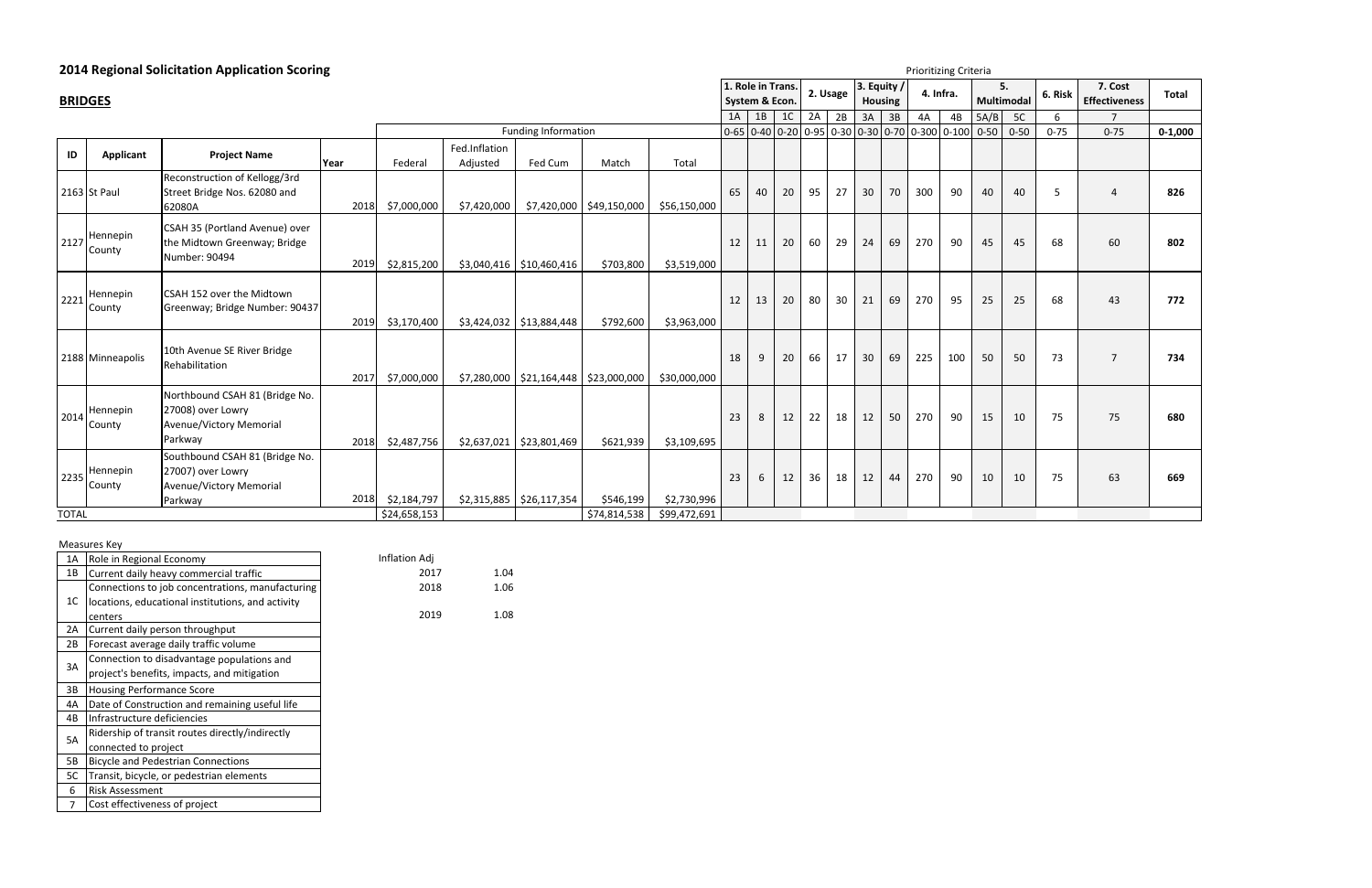### **2014 Regional Solicitation Application Scoring**

Measures Key

| 1A | Role in Regional Economy                          | Inflation Adj |      |
|----|---------------------------------------------------|---------------|------|
| 1B | Current daily heavy commercial traffic            | 2017          | 1.04 |
|    | Connections to job concentrations, manufacturing  | 2018          | 1.06 |
| 1C | locations, educational institutions, and activity |               |      |
|    | centers                                           | 2019          | 1.08 |
| 2A | Current daily person throughput                   |               |      |
| 2B | Forecast average daily traffic volume             |               |      |
| 3A | Connection to disadvantage populations and        |               |      |
|    | project's benefits, impacts, and mitigation       |               |      |
| 3B | <b>Housing Performance Score</b>                  |               |      |
| 4A | Date of Construction and remaining useful life    |               |      |
| 4B | Infrastructure deficiencies                       |               |      |
| 5A | Ridership of transit routes directly/indirectly   |               |      |
|    | connected to project                              |               |      |
| 5B | <b>Bicycle and Pedestrian Connections</b>         |               |      |
| 5C | Transit, bicycle, or pedestrian elements          |               |      |
| 6  | <b>Risk Assessment</b>                            |               |      |
| 7  | Cost effectiveness of project                     |               |      |

|                      | <b>BRIDGES</b>     |                                                                                           |      |                             |                           |                                            |                           |                             | 1. Role in Trans. | System & Econ. |                |    | 2. Usage | 3. Equity /<br><b>Housing</b> |    | 4. Infra.                                      |     |          | 5.<br>Multimodal | 6. Risk  | 7. Cost<br><b>Effectiveness</b> | Total       |
|----------------------|--------------------|-------------------------------------------------------------------------------------------|------|-----------------------------|---------------------------|--------------------------------------------|---------------------------|-----------------------------|-------------------|----------------|----------------|----|----------|-------------------------------|----|------------------------------------------------|-----|----------|------------------|----------|---------------------------------|-------------|
|                      |                    |                                                                                           |      |                             |                           |                                            |                           |                             | 1A                | 1B             | 1 <sup>C</sup> | 2A | 2B       | $3A$ 3B                       |    | 4A                                             | 4B  | 5A/B     | 5C               | 6        | $\overline{7}$                  |             |
|                      |                    |                                                                                           |      |                             |                           | <b>Funding Information</b>                 |                           |                             |                   |                |                |    |          |                               |    | 0-65 0-40 0-20 0-95 0-30 0-30 0-70 0-300 0-100 |     | $0 - 50$ | $0 - 50$         | $0 - 75$ | $0 - 75$                        | $0 - 1,000$ |
| ID                   | <b>Applicant</b>   | <b>Project Name</b>                                                                       | Year | Federal                     | Fed.Inflation<br>Adjusted | Fed Cum                                    | Match                     | Total                       |                   |                |                |    |          |                               |    |                                                |     |          |                  |          |                                 |             |
|                      | 2163 St Paul       | Reconstruction of Kellogg/3rd<br>Street Bridge Nos. 62080 and<br>62080A                   | 2018 | \$7,000,000                 | \$7,420,000               |                                            | \$7,420,000 \$49,150,000  | \$56,150,000                | 65                | 40             | 20             | 95 | 27       | 30                            | 70 | 300                                            | 90  | 40       | 40               | -5       | $\Delta$                        | 826         |
| 2127                 | Hennepin<br>County | CSAH 35 (Portland Avenue) over<br>the Midtown Greenway; Bridge<br>Number: 90494           | 2019 | \$2,815,200                 |                           | $$3,040,416$ $$10,460,416$                 | \$703,800                 | \$3,519,000                 | 12                | 11             | 20             | 60 | 29       | 24                            | 69 | 270                                            | 90  | 45       | 45               | 68       | 60                              | 802         |
| 2221                 | Hennepin<br>County | CSAH 152 over the Midtown<br>Greenway; Bridge Number: 90437                               | 2019 | \$3,170,400                 |                           | $$3,424,032$ $$13,884,448$                 | \$792,600                 | \$3,963,000                 | 12                | 13             | 20             | 80 | 30       | 21                            | 69 | 270                                            | 95  | 25       | 25               | 68       | 43                              | 772         |
|                      | 2188 Minneapolis   | 10th Avenue SE River Bridge<br>Rehabilitation                                             | 2017 | \$7,000,000                 |                           | $$7,280,000$   \$21,164,448   \$23,000,000 |                           | \$30,000,000                | 18                | 9              | 20             | 66 | 17       | 30                            | 69 | 225                                            | 100 | 50       | 50               | 73       | $\overline{7}$                  | 734         |
| 2014                 | Hennepin<br>County | Northbound CSAH 81 (Bridge No.<br>27008) over Lowry<br>Avenue/Victory Memorial<br>Parkway | 2018 | \$2,487,756                 |                           | $$2,637,021$ $$23,801,469$                 | \$621,939                 | \$3,109,695                 | 23                | 8              | 12             | 22 | 18       | 12                            | 50 | 270                                            | 90  | 15       | 10               | 75       | 75                              | 680         |
| 2235<br><b>TOTAL</b> | Hennepin<br>County | Southbound CSAH 81 (Bridge No.<br>27007) over Lowry<br>Avenue/Victory Memorial<br>Parkway | 2018 | \$2,184,797<br>\$24,658,153 |                           | $$2,315,885$ $$26,117,354$                 | \$546,199<br>\$74,814,538 | \$2,730,996<br>\$99,472,691 | 23                | 6              | 12             | 36 | 18       | 12                            | 44 | 270                                            | 90  | 10       | 10               | 75       | 63                              | 669         |

Prioritizing Criteria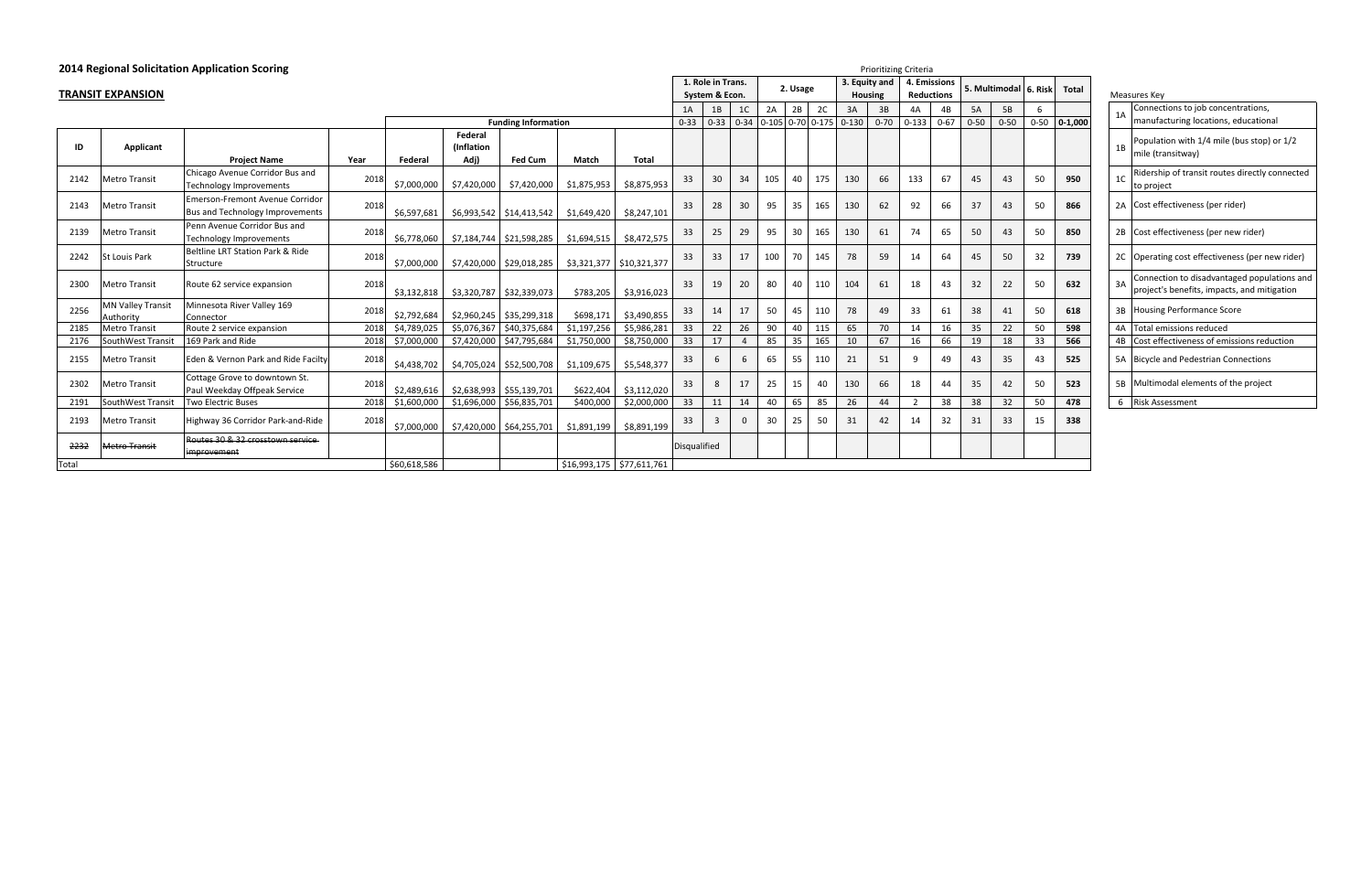| 2014 Regional Solicitation Application Scoring<br><b>Prioritizing Criteria</b> |                                       |                                                                           |      |              |             |                            |             |                             |                     |                   |                |     |          |     |                                       |                |           |                   |          |          |                         |              |                |    |                     |
|--------------------------------------------------------------------------------|---------------------------------------|---------------------------------------------------------------------------|------|--------------|-------------|----------------------------|-------------|-----------------------------|---------------------|-------------------|----------------|-----|----------|-----|---------------------------------------|----------------|-----------|-------------------|----------|----------|-------------------------|--------------|----------------|----|---------------------|
|                                                                                |                                       |                                                                           |      |              |             |                            |             |                             |                     | 1. Role in Trans. |                |     | 2. Usage |     |                                       | 3. Equity and  |           | 4. Emissions      |          |          | 5. Multimodal   6. Risk | <b>Total</b> |                |    |                     |
|                                                                                | <b>TRANSIT EXPANSION</b>              |                                                                           |      |              |             |                            |             |                             |                     | System & Econ.    |                |     |          |     |                                       | <b>Housing</b> |           | <b>Reductions</b> |          |          |                         |              |                |    | Measures Key        |
|                                                                                |                                       |                                                                           |      |              |             |                            |             |                             | 1A                  | 1B                | 1 <sup>C</sup> | 2A  | 2B       | 2C  | 3A                                    | 3B             | 4A        | 4B                | 5A       | 5B       | 6                       |              |                | 1A | Connec<br>manufa    |
|                                                                                |                                       |                                                                           |      |              | Federal     | <b>Funding Information</b> |             |                             | $0 - 33$            | $0 - 33$          |                |     |          |     | $0-34$ $0-105$ $0-70$ $0-175$ $0-130$ | $0 - 70$       | $0 - 133$ | $0 - 67$          | $0 - 50$ | $0 - 50$ | $0 - 50$                | $0 - 1,000$  |                |    |                     |
| ID                                                                             | Applicant                             |                                                                           |      |              | (Inflation  |                            |             |                             |                     |                   |                |     |          |     |                                       |                |           |                   |          |          |                         |              |                | 1B | Populat             |
|                                                                                |                                       | <b>Project Name</b>                                                       | Year | Federal      | Adj)        | <b>Fed Cum</b>             | Match       | Total                       |                     |                   |                |     |          |     |                                       |                |           |                   |          |          |                         |              |                |    | mile (tra           |
| 2142                                                                           | <b>Metro Transit</b>                  | Chicago Avenue Corridor Bus and<br><b>Technology Improvements</b>         | 2018 | \$7,000,000  | \$7,420,000 | \$7,420,000                | \$1,875,953 | \$8,875,953                 | 33                  | 30                | 34             | 105 | 40       | 175 | 130                                   | 66             | 133       | 67                | 45       | 43       | 50                      | 950          | 1 <sup>C</sup> |    | Ridersh<br>to proje |
| 2143                                                                           | Metro Transit                         | Emerson-Fremont Avenue Corridor<br><b>Bus and Technology Improvements</b> | 2018 | \$6,597,681  |             | $$6,993,542$ $$14,413,542$ | \$1,649,420 | \$8,247,101                 | 33                  | 28                | 30             | 95  | 35       | 165 | 130                                   | 62             | 92        | 66                | 37       | 43       | 50                      | 866          |                |    | 2A Cost eff         |
| 2139                                                                           | Metro Transit                         | Penn Avenue Corridor Bus and<br><b>Technology Improvements</b>            | 2018 | \$6,778,060  |             |                            | \$1,694,515 | \$8,472,575                 | 33                  | 25                | 29             | 95  | 30       | 165 | 130                                   | 61             | 74        | 65                | 50       | 43       | 50                      | 850          |                |    | 2B Cost eff         |
| 2242                                                                           | St Louis Park                         | Beltline LRT Station Park & Ride<br>Structure                             | 2018 | \$7,000,000  |             | \$7,420,000 \$29,018,285   |             | $$3,321,377$ $$10,321,377$  | 33                  | 33                | 17             | 100 | 70       | 145 | 78                                    | 59             | 14        | 64                | 45       | 50       | 32                      | 739          |                |    | 2C Operati          |
| 2300                                                                           | <b>Metro Transit</b>                  | Route 62 service expansion                                                | 2018 | \$3,132,818  |             | \$3,320,787 \$32,339,073   | \$783,205   | \$3,916,023                 | 33                  | 19                | 20             | 80  | 40       | 110 | 104                                   | 61             | 18        | 43                | 32       | 22       | 50                      | 632          |                | 3A | Connec<br>project'  |
| 2256                                                                           | <b>MN Vallev Transit</b><br>Authority | Minnesota River Valley 169<br>Connector                                   | 2018 | \$2,792,684  | \$2,960,245 | \$35,299,318               | \$698,171   | \$3,490,855                 | 33                  | 14                | 17             | 50  | 45       | 110 | 78                                    | 49             | 33        | 61                | 38       | 41       | 50                      | 618          |                |    | 3B Housing          |
| 2185                                                                           | <b>Metro Transit</b>                  | Route 2 service expansion                                                 | 2018 | \$4,789,025  |             | \$5,076,367 \$40,375,684   | \$1,197,256 | \$5,986,281                 | 33                  | 22                | 26             | 90  | 40       | 115 | 65                                    | 70             | 14        | 16                | 35       | 22       | 50                      | 598          |                |    | 4A Total er         |
| 2176                                                                           | SouthWest Transit                     | 169 Park and Ride                                                         | 2018 | \$7,000,000  | \$7,420,000 | \$47,795,684               | \$1,750,000 | \$8,750,000                 | 33                  | 17                |                | 85  | 35       | 165 | 10                                    | 67             | 16        | 66                | 19       | 18       | 33                      | 566          |                | 4B | Cost eff            |
| 2155                                                                           | <b>Metro Transit</b>                  | Eden & Vernon Park and Ride Facilty                                       | 2018 | \$4,438,702  |             | \$4,705,024 \$52,500,708   | \$1,109,675 | \$5,548,377                 | 33                  | 6                 |                | 65  | 55       | 110 | 21                                    | 51             | 9         | 49                | 43       | 35       | 43                      | 525          |                |    | 5A Bicycle          |
| 2302                                                                           | <b>Metro Transit</b>                  | Cottage Grove to downtown St.<br>Paul Weekday Offpeak Service             | 2018 | \$2,489,616  |             | $$2,638,993$ $$55,139,701$ | \$622,404   | \$3,112,020                 | 33                  | 8                 | 17             | 25  | 15       | 40  | 130                                   | 66             | 18        | 44                | 35       | 42       | 50                      | 523          |                |    | 5B Multime          |
| 2191                                                                           | SouthWest Transit                     | Two Electric Buses                                                        | 2018 | \$1,600,000  | \$1,696,000 | \$56,835,701               | \$400,000   | \$2,000,000                 | 33                  | 11                | 14             | 40  | 65       | 85  | 26                                    | 44             | 2         | 38                | 38       | 32       | 50                      | 478          |                |    | 6 Risk Ass          |
| 2193                                                                           | <b>Metro Transit</b>                  | Highway 36 Corridor Park-and-Ride                                         | 2018 | \$7,000,000  |             | \$7,420,000 \$64,255,701   | \$1,891,199 | \$8,891,199                 | 33                  | $\overline{3}$    | $\Omega$       | 30  | 25       | 50  | 31                                    | 42             | 14        | 32                | 31       | 33       | 15                      | 338          |                |    |                     |
| 2232                                                                           | <b>Metro Transit</b>                  | Routes 30 & 32 crosstown service<br>improvement                           |      |              |             |                            |             |                             | <b>Disqualified</b> |                   |                |     |          |     |                                       |                |           |                   |          |          |                         |              |                |    |                     |
| Total                                                                          |                                       |                                                                           |      | \$60,618,586 |             |                            |             | $$16,993,175$ $$77,611,761$ |                     |                   |                |     |          |     |                                       |                |           |                   |          |          |                         |              |                |    |                     |

|                | Measures Key                                                                               |
|----------------|--------------------------------------------------------------------------------------------|
| 1A             | Connections to job concentrations,<br>manufacturing locations, educational                 |
| 1B             | Population with 1/4 mile (bus stop) or 1/2<br>mile (transitway)                            |
| 1 <sup>C</sup> | Ridership of transit routes directly connected<br>to project                               |
| 2A             | Cost effectiveness (per rider)                                                             |
| 2B             | Cost effectiveness (per new rider)                                                         |
| 2C             | Operating cost effectiveness (per new rider)                                               |
| 3A             | Connection to disadvantaged populations and<br>project's benefits, impacts, and mitigation |
| 3B             | <b>Housing Performance Score</b>                                                           |
| 4A             | <b>Total emissions reduced</b>                                                             |
| 4B             | Cost effectiveness of emissions reduction                                                  |
| 5A             | <b>Bicycle and Pedestrian Connections</b>                                                  |
| 5Β             | Multimodal elements of the project                                                         |
| 6              | Risk Assessment                                                                            |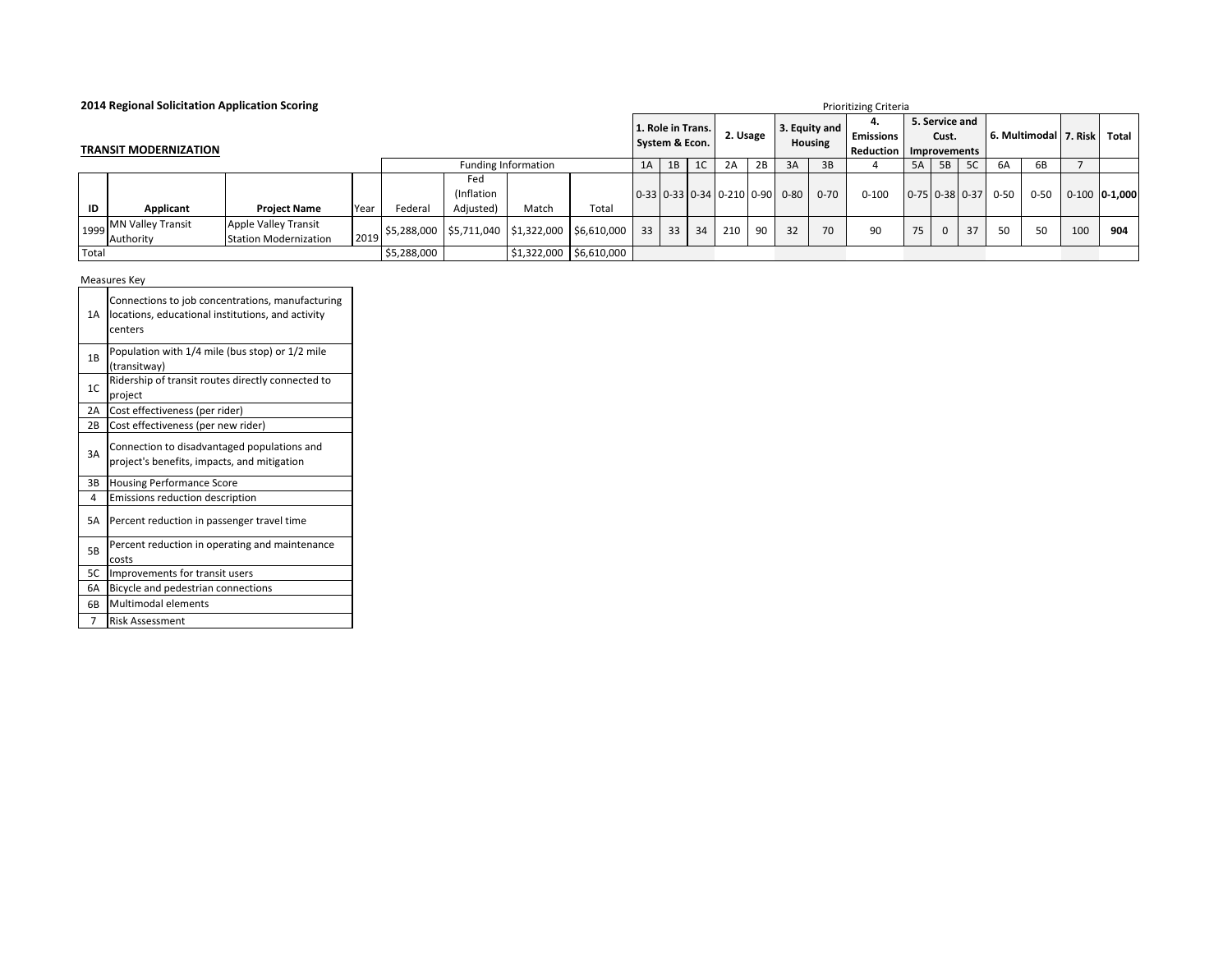| 2014 Regional Solicitation Application Scoring<br><b>Prioritizing Criteria</b> |                              |                              |             |                                                                                                               |           |                            |       |    |    |    |                                                                      |    |    |                                 |                                     |    |                         |              |                       |          |                         |                 |
|--------------------------------------------------------------------------------|------------------------------|------------------------------|-------------|---------------------------------------------------------------------------------------------------------------|-----------|----------------------------|-------|----|----|----|----------------------------------------------------------------------|----|----|---------------------------------|-------------------------------------|----|-------------------------|--------------|-----------------------|----------|-------------------------|-----------------|
|                                                                                | <b>TRANSIT MODERNIZATION</b> |                              |             |                                                                                                               |           |                            |       |    |    |    | 1. Role in Trans.<br>2. Usage                                        |    |    | 3. Equity and<br><b>Housing</b> | 4.<br><b>Emissions</b><br>Reduction |    | 5. Service and<br>Cust. | Improvements |                       |          | 6. Multimodal   7. Risk | Total           |
|                                                                                |                              |                              |             |                                                                                                               |           | Funding Information        |       | 1A | 1B | 1C | 2A                                                                   | 2B | 3A | 3B                              |                                     | 5A | 5B                      | 5C           | 6A                    | 6B       |                         |                 |
|                                                                                |                              |                              |             |                                                                                                               | Fed       |                            |       |    |    |    |                                                                      |    |    |                                 |                                     |    |                         |              |                       |          |                         |                 |
|                                                                                |                              |                              |             |                                                                                                               | Inflation |                            |       |    |    |    | $\vert 0.33 \vert 0.33 \vert 0.34 \vert 0.210 \vert 0.90 \vert 0.80$ |    |    | $0 - 70$                        | $0 - 100$                           |    |                         |              | $0-75$ 0-38 0-37 0-50 | $0 - 50$ |                         | $0-100$ 0-1,000 |
| ID                                                                             | Applicant                    | <b>Project Name</b>          | Year        | Federal                                                                                                       | Adjusted) | Match                      | Total |    |    |    |                                                                      |    |    |                                 |                                     |    |                         |              |                       |          |                         |                 |
|                                                                                | 1999 MN Valley Transit       | Apple Valley Transit         |             | $\frac{1}{2}$ 5,288,000 $\frac{1}{2}$ 5,711,040 $\frac{1}{2}$ 1,322,000 $\frac{1}{2}$ 6,610,000 $\frac{1}{2}$ |           |                            |       | 33 | 33 | 34 | 210                                                                  | 90 | 32 | 70                              | 90                                  | 75 | $\mathbf{0}$            | 37           | 50                    | 50       | 100                     | 904             |
|                                                                                | Authority                    | <b>Station Modernization</b> | 2019        |                                                                                                               |           |                            |       |    |    |    |                                                                      |    |    |                                 |                                     |    |                         |              |                       |          |                         |                 |
| Total                                                                          |                              |                              | \$5,288,000 |                                                                                                               |           | $$1,322,000$   \$6,610,000 |       |    |    |    |                                                                      |    |    |                                 |                                     |    |                         |              |                       |          |                         |                 |

Measures Key ┱

| 1A             | Connections to job concentrations, manufacturing<br>locations, educational institutions, and activity<br>centers |
|----------------|------------------------------------------------------------------------------------------------------------------|
| 1B             | Population with 1/4 mile (bus stop) or 1/2 mile<br>(transitway)                                                  |
| 1 <sup>C</sup> | Ridership of transit routes directly connected to<br>project                                                     |
| 2A             | Cost effectiveness (per rider)                                                                                   |
| 2B             | Cost effectiveness (per new rider)                                                                               |
| 3A             | Connection to disadvantaged populations and<br>project's benefits, impacts, and mitigation                       |
| 3B             | <b>Housing Performance Score</b>                                                                                 |
| 4              | Emissions reduction description                                                                                  |
| 5A             | Percent reduction in passenger travel time                                                                       |
| 5B             | Percent reduction in operating and maintenance<br>costs                                                          |
| 5C             | Improvements for transit users                                                                                   |
| 6A             | Bicycle and pedestrian connections                                                                               |
| 6B             | Multimodal elements                                                                                              |
| 7              | <b>Risk Assessment</b>                                                                                           |

┑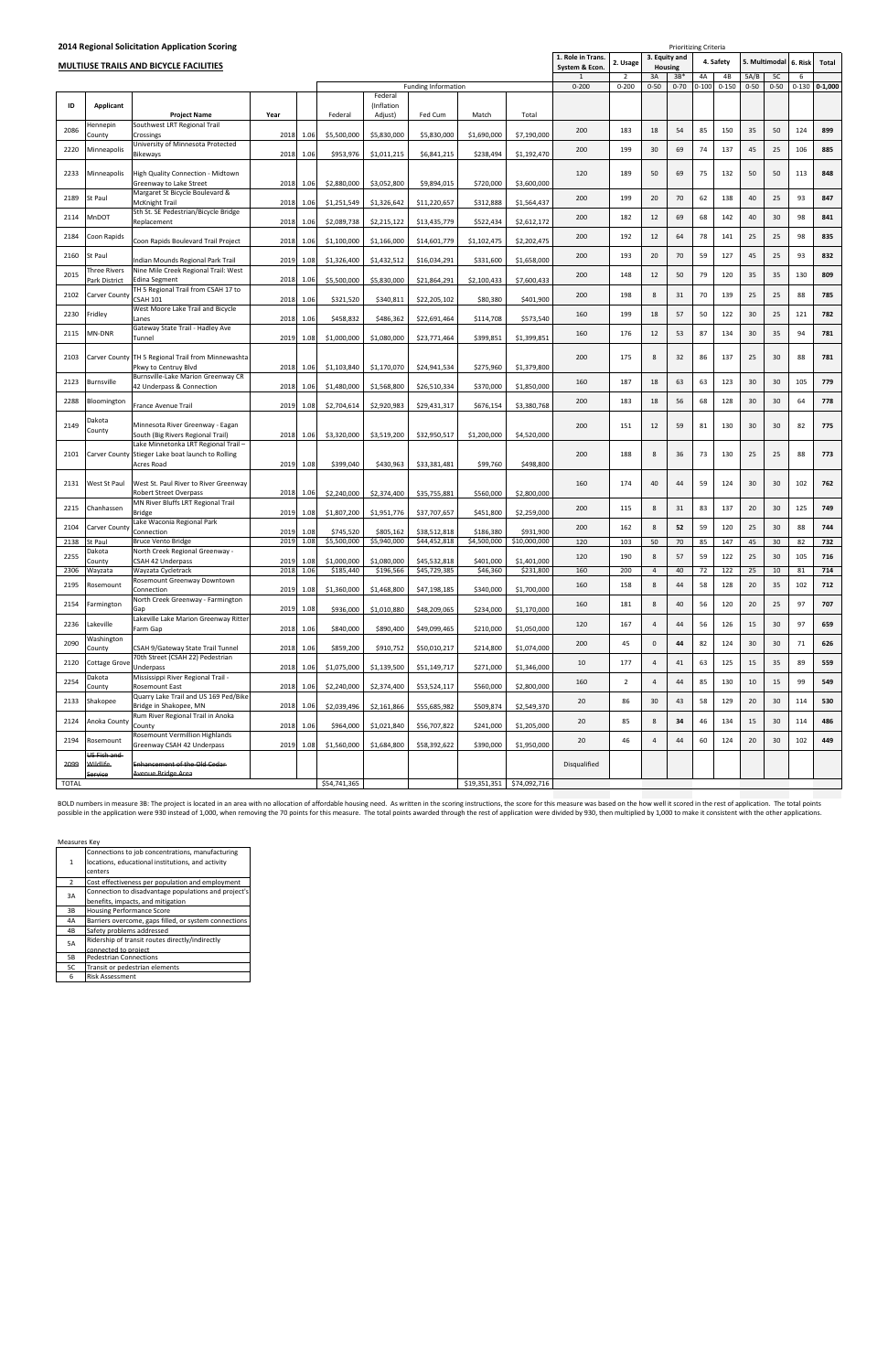|      |                               | 2014 Regional Solicitation Application Scoring                                                         |      |           |             |                       |                            |             |              |                                     |                |                                                               | Prioritizing Criteria |        |           |          |                 |           |                         |
|------|-------------------------------|--------------------------------------------------------------------------------------------------------|------|-----------|-------------|-----------------------|----------------------------|-------------|--------------|-------------------------------------|----------------|---------------------------------------------------------------|-----------------------|--------|-----------|----------|-----------------|-----------|-------------------------|
|      |                               | <b>MULTIUSE TRAILS AND BICYCLE FACILITIES</b>                                                          |      |           |             |                       |                            |             |              | 1. Role in Trans.<br>System & Econ. | 2. Usage       | 3. Equity and<br>4. Safety<br>5. Multimodal<br><b>Housing</b> |                       |        |           |          |                 |           | 6. Risk<br><b>Total</b> |
|      |                               |                                                                                                        |      |           |             |                       |                            |             |              |                                     | $\overline{2}$ | 3A                                                            | $3B*$                 | 4A     | 4B        | 5A/B     | 5C              | 6         |                         |
|      |                               |                                                                                                        |      |           |             |                       | <b>Funding Information</b> |             |              | $0 - 200$                           | $0 - 200$      | $0 - 50$                                                      | $0 - 70$              | $-100$ | $0 - 150$ | $0 - 50$ | $0 - 50$        | $0 - 130$ | $0 - 1,000$             |
| ID   | Applicant                     |                                                                                                        |      |           |             | Federal<br>(Inflation |                            |             |              |                                     |                |                                                               |                       |        |           |          |                 |           |                         |
| 2086 | Hennepin                      | <b>Project Name</b><br>Southwest LRT Regional Trail                                                    | Year |           | Federal     | Adjust)               | Fed Cum                    | Match       | Total        | 200                                 | 183            | 18                                                            | 54                    | 85     | 150       | 35       | 50              | 124       | 899                     |
|      | County                        | Crossings<br>University of Minnesota Protected                                                         | 2018 | 1.06      | \$5,500,000 | \$5,830,000           | \$5,830,000                | \$1,690,000 | \$7,190,000  |                                     |                |                                                               |                       |        |           |          |                 |           |                         |
| 2220 | Minneapolis                   | Bikeways                                                                                               | 2018 | 1.06      | \$953,976   | \$1,011,215           | \$6,841,215                | \$238,494   | \$1,192,470  | 200                                 | 199            | 30                                                            | 69                    | 74     | 137       | 45       | 25              | 106       | 885                     |
| 2233 | Minneapolis                   | High Quality Connection - Midtown<br>Greenway to Lake Street                                           | 2018 | 1.06      | \$2,880,000 | \$3,052,800           | \$9,894,015                | \$720,000   | \$3,600,000  | 120                                 | 189            | 50                                                            | 69                    | 75     | 132       | 50       | 50              | 113       | 848                     |
| 2189 | St Paul                       | Margaret St Bicycle Boulevard &<br>McKnight Trail                                                      | 2018 | 1.06      | \$1,251,549 | \$1,326,642           | \$11,220,657               | \$312,888   | \$1,564,437  | 200                                 | 199            | 20                                                            | 70                    | 62     | 138       | 40       | 25              | 93        | 847                     |
| 2114 | MnDOT                         | 5th St. SE Pedestrian/Bicycle Bridge<br>Replacement                                                    | 2018 | 1.06      | \$2,089,738 | \$2,215,122           | \$13,435,779               | \$522,434   | \$2,612,172  | 200                                 | 182            | 12                                                            | 69                    | 68     | 142       | 40       | 30              | 98        | 841                     |
| 2184 | Coon Rapids                   | Coon Rapids Boulevard Trail Project                                                                    | 2018 | 1.06      | \$1,100,000 | \$1,166,000           | \$14,601,779               | \$1,102,475 | \$2,202,475  | 200                                 | 192            | 12                                                            | 64                    | 78     | 141       | 25       | 25              | 98        | 835                     |
| 2160 | St Paul                       | Indian Mounds Regional Park Trail                                                                      | 2019 | 1.08      | \$1,326,400 | \$1,432,512           | \$16,034,291               | \$331,600   | \$1,658,000  | 200                                 | 193            | 20                                                            | 70                    | 59     | 127       | 45       | 25              | 93        | 832                     |
| 2015 | Three Rivers<br>Park District | Nine Mile Creek Regional Trail: West<br><b>Edina Segment</b>                                           | 2018 | 1.06      | \$5,500,000 | \$5,830,000           | \$21,864,291               | \$2,100,433 | \$7,600,433  | 200                                 | 148            | 12                                                            | 50                    | 79     | 120       | 35       | 35              | 130       | 809                     |
| 2102 | <b>Carver County</b>          | TH 5 Regional Trail from CSAH 17 to<br><b>CSAH 101</b>                                                 | 2018 | 1.06      | \$321,520   | \$340,811             | \$22,205,102               | \$80,380    | \$401,900    | 200                                 | 198            | 8                                                             | 31                    | 70     | 139       | 25       | 25              | 88        | 785                     |
| 2230 | Fridley                       | West Moore Lake Trail and Bicycle<br>Lanes                                                             | 2018 | 1.06      | \$458,832   | \$486,362             | \$22,691,464               | \$114,708   | \$573,540    | 160                                 | 199            | 18                                                            | 57                    | 50     | 122       | 30       | 25              | 121       | 782                     |
| 2115 | MN-DNR                        | Gateway State Trail - Hadley Ave<br>Tunnel                                                             | 2019 | 1.08      | \$1,000,000 | \$1,080,000           | \$23,771,464               | \$399,851   | \$1,399,851  | 160                                 | 176            | 12                                                            | 53                    | 87     | 134       | 30       | 35              | 94        | 781                     |
| 2103 |                               | Carver County TH 5 Regional Trail from Minnewashta<br>Pkwy to Centruy Blvd                             | 2018 | 1.06      | \$1,103,840 | \$1,170,070           | \$24,941,534               | \$275,960   | \$1,379,800  | 200                                 | 175            | 8                                                             | 32                    | 86     | 137       | 25       | 30              | 88        | 781                     |
| 2123 | Burnsville                    | Burnsville-Lake Marion Greenway CR<br>42 Underpass & Connection                                        | 2018 | 1.06      | \$1,480,000 | \$1,568,800           | \$26,510,334               | \$370,000   | \$1,850,000  | 160                                 | 187            | 18                                                            | 63                    | 63     | 123       | 30       | 30              | 105       | 779                     |
| 2288 | Bloomington                   |                                                                                                        |      |           |             |                       |                            |             |              | 200                                 | 183            | 18                                                            | 56                    | 68     | 128       | 30       | 30              | 64        | 778                     |
|      | Dakota                        | France Avenue Trail                                                                                    | 2019 | 1.08      | \$2,704,614 | \$2,920,983           | \$29,431,317               | \$676,154   | \$3,380,768  |                                     |                |                                                               |                       |        |           |          |                 |           |                         |
| 2149 | County                        | Minnesota River Greenway - Eagan<br>South (Big Rivers Regional Trail)                                  | 2018 | 1.06      | \$3,320,000 | \$3,519,200           | \$32,950,517               | \$1,200,000 | \$4,520,000  | 200                                 | 151            | 12                                                            | 59                    | 81     | 130       | 30       | 30              | 82        | 775                     |
| 2101 |                               | Lake Minnetonka LRT Regional Trail-<br>Carver County Stieger Lake boat launch to Rolling<br>Acres Road | 2019 | 1.08      | \$399,040   | \$430,963             | \$33,381,481               | \$99,760    | \$498,800    | 200                                 | 188            | 8                                                             | 36                    | 73     | 130       | 25       | 25              | 88        | 773                     |
| 2131 | West St Paul                  | West St. Paul River to River Greenway<br>Robert Street Overpass                                        | 2018 | 1.06      | \$2,240,000 | \$2,374,400           | \$35,755,881               | \$560,000   | \$2,800,000  | 160                                 | 174            | 40                                                            | 44                    | 59     | 124       | 30       | 30              | 102       | 762                     |
| 2215 | Chanhassen                    | MN River Bluffs LRT Regional Trail<br><b>Bridge</b>                                                    | 2019 | 1.08      | \$1,807,200 | \$1,951,776           | \$37,707,657               | \$451,800   | \$2,259,000  | 200                                 | 115            | 8                                                             | 31                    | 83     | 137       | 20       | 30              | 125       | 749                     |
| 2104 | Carver County                 | Lake Waconia Regional Park<br>Connection                                                               | 2019 | 1.08      | \$745,520   | \$805,162             | \$38,512,818               | \$186,380   | \$931,900    | 200                                 | 162            | 8                                                             | 52                    | 59     | 120       | 25       | 30 <sup>°</sup> | 88        | 744                     |
| 2138 | St Paul                       | <b>Bruce Vento Bridge</b>                                                                              | 2019 | 1.08      | \$5,500,000 | \$5,940,000           | \$44,452,818               | \$4,500,000 | \$10,000,000 | 120                                 | 103            | 50                                                            | 70                    | 85     | 147       | 45       | 30              | 82        | 732                     |
| 2255 | Dakota<br>County              | North Creek Regional Greenway -<br><b>CSAH 42 Underpass</b>                                            | 2019 | 1.08      | \$1,000,000 | \$1,080,000           | \$45,532,818               | \$401,000   | \$1,401,000  | 120                                 | 190            | 8                                                             | 57                    | 59     | 122       | 25       | 30              | 105       | 716                     |
| 2306 | Wayzata                       | Wayzata Cycletrack                                                                                     | 2018 | 1.06      | \$185,440   | \$196,566             | \$45,729,385               | \$46,360    | \$231,800    | 160                                 | 200            | $\overline{4}$                                                | 40                    | 72     | 122       | 25       | 10              | 81        | 714                     |
| 2195 | Rosemount                     | Rosemount Greenway Downtown<br>Connection                                                              | 2019 | 1.08      | \$1,360,000 | \$1,468,800           | \$47,198,185               | \$340,000   | \$1,700,000  | 160                                 | 158            | 8                                                             | 44                    | 58     | 128       | 20       | 35              | 102       | 712                     |
| 2154 | Farmington                    | North Creek Greenway - Farmington<br>Gap                                                               | 2019 | 1.08      | \$936,000   | \$1,010,880           | \$48,209,065               | \$234,000   | \$1,170,000  | 160                                 | 181            | $8\phantom{1}$                                                | 40                    | 56     | 120       | 20       | 25              | 97        | 707                     |
| 2236 | Lakeville                     | Lakeville Lake Marion Greenway Ritter<br>Farm Gap                                                      |      | 2018 1.06 | \$840,000   | \$890,400             | \$49,099,465               | \$210,000   | \$1,050,000  | 120                                 | 167            | $\overline{4}$                                                | 44                    | 56     | 126       | 15       | 30              | 97        | 659                     |
| 2090 | Washington<br>County          | CSAH 9/Gateway State Trail Tunnel                                                                      |      | 2018 1.06 | \$859,200   | \$910,752             | \$50,010,217               | \$214,800   | \$1,074,000  | 200                                 | 45             | $\mathbf 0$                                                   | 44                    | 82     | 124       | 30       | 30              | 71        | 626                     |
| 2120 | <b>Cottage Grove</b>          | 70th Street (CSAH 22) Pedestrian<br>Underpass                                                          | 2018 | 1.06      | \$1,075,000 | \$1,139,500           | \$51,149,717               | \$271,000   | \$1,346,000  | 10                                  | 177            | $\overline{4}$                                                | 41                    | 63     | 125       | 15       | 35              | 89        | 559                     |
| 2254 | Dakota<br>County              | Mississippi River Regional Trail -<br>Rosemount East                                                   | 2018 | 1.06      | \$2,240,000 | \$2,374,400           | \$53,524,117               | \$560,000   | \$2,800,000  | 160                                 | $\overline{2}$ | $\overline{4}$                                                | 44                    | 85     | 130       | 10       | 15              | 99        | 549                     |
| 2133 | Shakopee                      | Quarry Lake Trail and US 169 Ped/Bike<br>Bridge in Shakopee, MN                                        | 2018 | 1.06      | \$2,039,496 | \$2,161,866           | \$55,685,982               | \$509,874   | \$2,549,370  | 20                                  | 86             | 30                                                            | 43                    | 58     | 129       | 20       | 30              | 114       | 530                     |
| 2124 | Anoka County                  | Rum River Regional Trail in Anoka<br>County                                                            | 2018 | 1.06      | \$964,000   | \$1,021,840           | \$56,707,822               | \$241,000   | \$1,205,000  | 20                                  | 85             | $8\phantom{1}$                                                | 34                    | 46     | 134       | 15       | 30              | 114       | 486                     |
| 2194 | Rosemount                     | Rosemount Vermillion Highlands<br>Greenway CSAH 42 Underpass                                           | 2019 | 1.08      | \$1,560,000 | \$1,684,800           | \$58,392,622               | \$390,000   | \$1,950,000  | 20                                  | 46             | $\overline{4}$                                                | 44                    | 60     | 124       | 20       | 30              | 102       | 449                     |
|      |                               |                                                                                                        |      |           |             |                       |                            |             |              |                                     |                |                                                               |                       |        |           |          |                 |           |                         |

BOLD numbers in measure 3B: The project is located in an area with no allocation of affordable housing need. As written in the scoring instructions, the score for this measure was based on the how well it scored in the res possible in the application were 930 instead of 1,000, when removing the 70 points for this measure. The total points awarded through the rest of application were divided by 930, then multiplied by 1,000 to make it consist

2099

US Fish and Wildlife Service

Disqualified

Measures Key

| ואו כם או כם ואכ |                                                                                                                  |
|------------------|------------------------------------------------------------------------------------------------------------------|
| 1                | Connections to job concentrations, manufacturing<br>locations, educational institutions, and activity<br>centers |
| $\overline{2}$   | Cost effectiveness per population and employment                                                                 |
| 3A               | Connection to disadvantage populations and project's                                                             |
|                  | benefits, impacts, and mitigation                                                                                |
| 3B               | <b>Housing Performance Score</b>                                                                                 |
| 4Α               | Barriers overcome, gaps filled, or system connections                                                            |
| 4B               | Safety problems addressed                                                                                        |
| 5A               | Ridership of transit routes directly/indirectly                                                                  |
|                  | connected to project                                                                                             |
| 5В               | <b>Pedestrian Connections</b>                                                                                    |
| 5C               | Transit or pedestrian elements                                                                                   |
| 6                | <b>Risk Assessment</b>                                                                                           |

the Old Cedar

TOTAL \$19,351,351 \$74,092,716 \$19,351,351 \$74,092,716

ue Bridge Area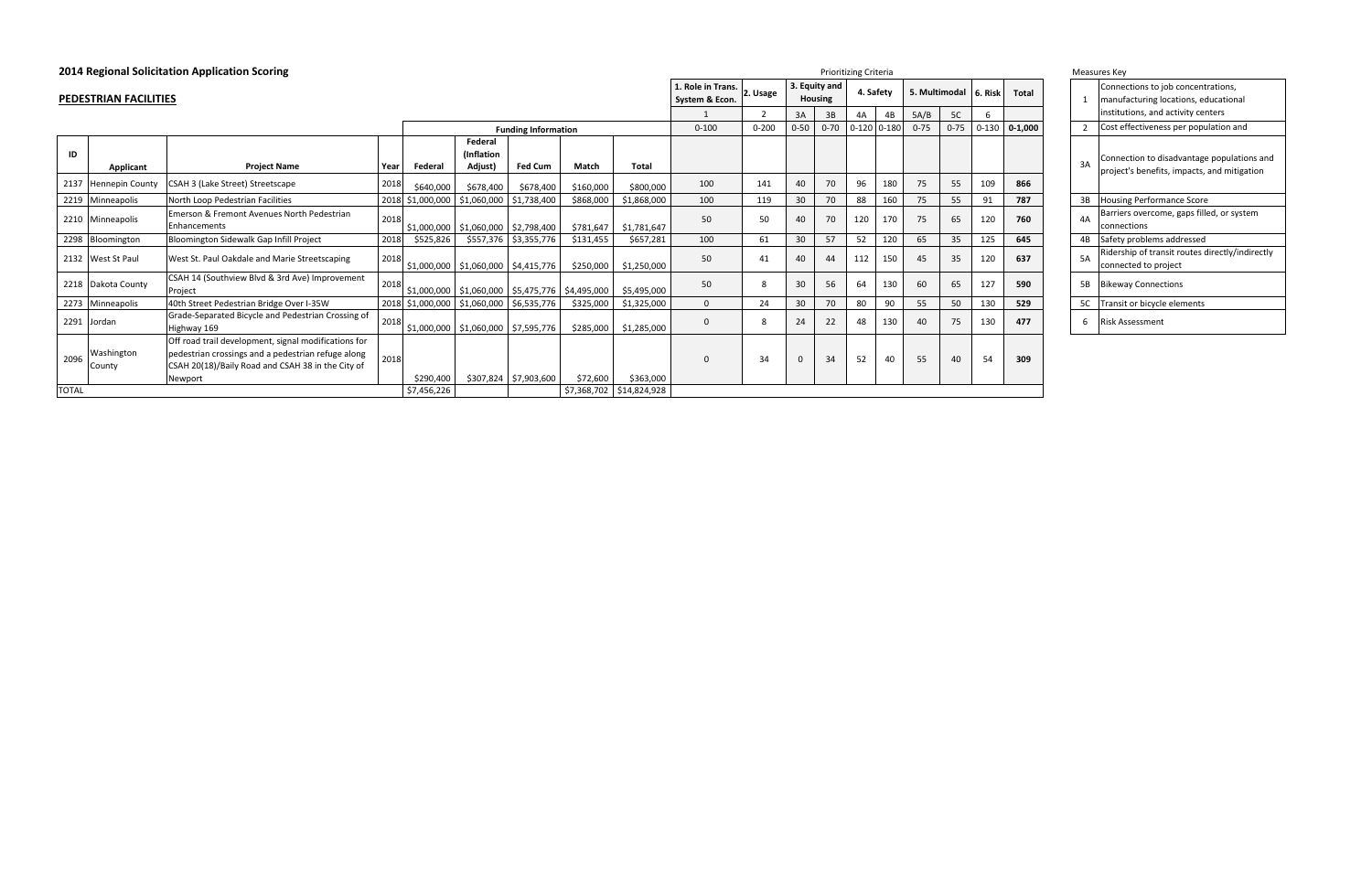| 2014 Regional Solicitation Application Scoring<br><b>Prioritizing Criteria</b> |                        |                                                                                                                                                                            |                   |                                                        |                            |           |                          |                                     |                                                    |              |                                 |     | Measures Key    |          |                       |           |             |  |    |                  |
|--------------------------------------------------------------------------------|------------------------|----------------------------------------------------------------------------------------------------------------------------------------------------------------------------|-------------------|--------------------------------------------------------|----------------------------|-----------|--------------------------|-------------------------------------|----------------------------------------------------|--------------|---------------------------------|-----|-----------------|----------|-----------------------|-----------|-------------|--|----|------------------|
|                                                                                | PEDESTRIAN FACILITIES  |                                                                                                                                                                            |                   |                                                        |                            |           |                          | 1. Role in Trans.<br>System & Econ. | 2. Usage                                           |              | 3. Equity and<br><b>Housing</b> |     | 4. Safety       |          | 5. Multimodal 6. Risk |           | Total       |  |    | Conne<br>manuf   |
|                                                                                |                        |                                                                                                                                                                            |                   |                                                        |                            |           |                          |                                     | 5C<br>5A/B<br>4A<br>4B<br>3A<br>3B<br>$\mathsf{f}$ |              |                                 |     |                 |          |                       |           |             |  |    | institu          |
|                                                                                |                        |                                                                                                                                                                            |                   |                                                        | <b>Funding Information</b> |           |                          | $0 - 100$                           | $0 - 200$                                          | $0 - 50$     | $0 - 70$                        |     | $0-120$ $0-180$ | $0 - 75$ | $0 - 75$              | $0 - 130$ | $0 - 1,000$ |  |    | Cost e           |
|                                                                                |                        |                                                                                                                                                                            |                   | Federal                                                |                            |           |                          |                                     |                                                    |              |                                 |     |                 |          |                       |           |             |  |    |                  |
| ID                                                                             |                        |                                                                                                                                                                            |                   | <i>(Inflation)</i>                                     |                            |           |                          |                                     |                                                    |              |                                 |     |                 |          |                       |           |             |  |    | Conne            |
|                                                                                | Applicant              | <b>Project Name</b>                                                                                                                                                        | Federal<br>Year   | Adjust)                                                | <b>Fed Cum</b>             | Match     | <b>Total</b>             |                                     |                                                    |              |                                 |     |                 |          |                       |           |             |  | 3A | projec           |
| 2137                                                                           | <b>Hennepin County</b> | CSAH 3 (Lake Street) Streetscape                                                                                                                                           | 2018<br>\$640,000 | \$678,400                                              | \$678,400                  | \$160,000 | \$800,000                | 100                                 | 141                                                | 40           | 70                              | 96  | 180             | 75       | 55                    | 109       | 866         |  |    |                  |
| 2219                                                                           | Minneapolis            | North Loop Pedestrian Facilities                                                                                                                                           | 2018 \$1,000,000  | \$1,060,000                                            | \$1,738,400                | \$868,000 | \$1,868,000              | 100                                 | 119                                                | 30           | 70                              | 88  | 160             | 75       | 55                    | 91        | 787         |  | 3B | Housir           |
|                                                                                | 2210 Minneapolis       | Emerson & Fremont Avenues North Pedestrian<br><b>Enhancements</b>                                                                                                          | 2018              | \$1,000,000   \$1,060,000   \$2,798,400                |                            | \$781,647 | \$1,781,647              | 50                                  | 50                                                 | 40           | 70                              | 120 | 170             | 75       | 65                    | 120       | 760         |  | 4A | Barrier<br>conne |
|                                                                                | 2298 Bloomington       | Bloomington Sidewalk Gap Infill Project                                                                                                                                    | \$525,826<br>2018 |                                                        | \$557,376 \$3,355,776      | \$131,455 | \$657,281                | 100                                 | 61                                                 | 30           | 57                              | 52  | 120             | 65       | 35                    | 125       | 645         |  | 4B | Safety           |
|                                                                                | 2132 West St Paul      | West St. Paul Oakdale and Marie Streetscaping                                                                                                                              | 2018              | $$1,000,000$   \$1,060,000   \$4,415,776               |                            | \$250,000 | \$1,250,000              | 50                                  | 41                                                 | 40           | 44                              | 112 | 150             | 45       | 35                    | 120       | 637         |  | 5A | Riders<br>conne  |
|                                                                                | 2218 Dakota County     | CSAH 14 (Southview Blvd & 3rd Ave) Improvement<br>Project                                                                                                                  | 2018              | $$1,000,000$   \$1,060,000   \$5,475,776   \$4,495,000 |                            |           | \$5,495,000              | 50                                  | 8                                                  | 30           | 56                              | 64  | 130             | 60       | 65                    | 127       | 590         |  | 5B | Bikewa           |
| 2273                                                                           | Minneapolis            | 40th Street Pedestrian Bridge Over I-35W                                                                                                                                   | 2018 \$1,000,000  |                                                        | \$1,060,000 \$6,535,776    | \$325,000 | \$1,325,000              | $\Omega$                            | 24                                                 | 30           | 70                              | 80  | 90              | 55       | 50                    | 130       | 529         |  |    | 5C Transit       |
|                                                                                | 2291 Jordan            | Grade-Separated Bicycle and Pedestrian Crossing of<br>Highway 169                                                                                                          | 2018              | $$1,000,000$   \$1,060,000   \$7,595,776               |                            | \$285,000 | \$1,285,000              | 0                                   | 8                                                  | 24           | 22                              | 48  | 130             | 40       | 75                    | 130       | 477         |  | 6  | Risk As          |
| 2096                                                                           | Washington<br>County   | Off road trail development, signal modifications for<br>pedestrian crossings and a pedestrian refuge along<br>CSAH 20(18)/Baily Road and CSAH 38 in the City of<br>Newport | 2018<br>\$290,400 |                                                        | \$307,824 \$7,903,600      | \$72,600  | \$363,000                | $\Omega$                            | 34                                                 | $\mathbf{0}$ | 34                              | 52  | 40              | 55       | 40                    | 54        | 309         |  |    |                  |
| <b>TOTAL</b>                                                                   |                        |                                                                                                                                                                            | \$7,456,226       |                                                        |                            |           | \$7,368,702 \$14,824,928 |                                     |                                                    |              |                                 |     |                 |          |                       |           |             |  |    |                  |

| lisk           | <b>Total</b> | $\mathbf{1}$            |
|----------------|--------------|-------------------------|
| 5              |              |                         |
| .30            | $0 - 1,000$  | $\overline{\mathbf{c}}$ |
|                |              | $\overline{3}$          |
| )9             | 866          |                         |
| $\mathbf{1}$   | 787          | $\overline{3}$          |
| 20             | 760          | $\overline{4}$          |
| 25             | 645          | 4 <sub>l</sub>          |
| 20             | 637          | 5/                      |
| $\frac{27}{2}$ | 590          | 5 <sub>l</sub>          |
| 30             | 529          | 5                       |
| 30             | 477          | 6                       |
| 4              | 309          |                         |

| Measures Key   |                                                                                                                  |  |  |  |  |  |  |
|----------------|------------------------------------------------------------------------------------------------------------------|--|--|--|--|--|--|
| 1              | Connections to job concentrations,<br>manufacturing locations, educational<br>institutions, and activity centers |  |  |  |  |  |  |
| $\mathfrak{p}$ | Cost effectiveness per population and                                                                            |  |  |  |  |  |  |
| 3A             | Connection to disadvantage populations and<br>project's benefits, impacts, and mitigation                        |  |  |  |  |  |  |
| 3B             | <b>Housing Performance Score</b>                                                                                 |  |  |  |  |  |  |
| 4A             | Barriers overcome, gaps filled, or system<br>connections                                                         |  |  |  |  |  |  |
| 4B             | Safety problems addressed                                                                                        |  |  |  |  |  |  |
| 5A             | Ridership of transit routes directly/indirectly<br>connected to project                                          |  |  |  |  |  |  |
| 5Β             | <b>Bikeway Connections</b>                                                                                       |  |  |  |  |  |  |
| 5C             | Transit or bicycle elements                                                                                      |  |  |  |  |  |  |
| 6              | Risk Assessment                                                                                                  |  |  |  |  |  |  |